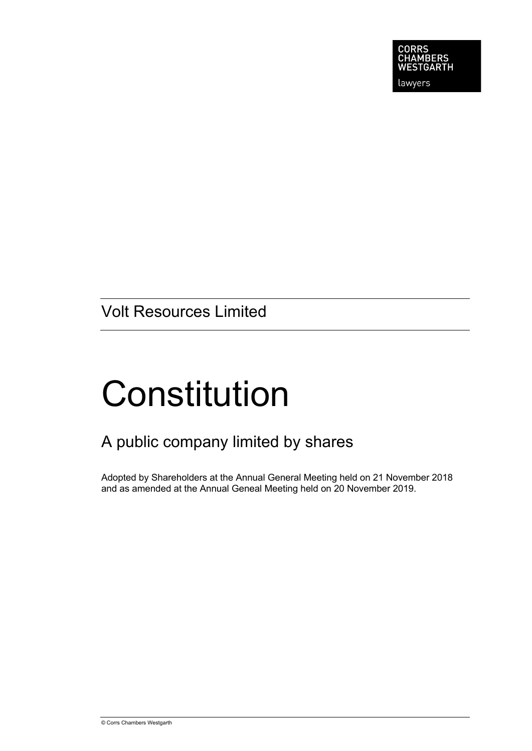

lawyers

Volt Resources Limited

# **Constitution**

# A public company limited by shares

Adopted by Shareholders at the Annual General Meeting held on 21 November 2018 and as amended at the Annual Geneal Meeting held on 20 November 2019.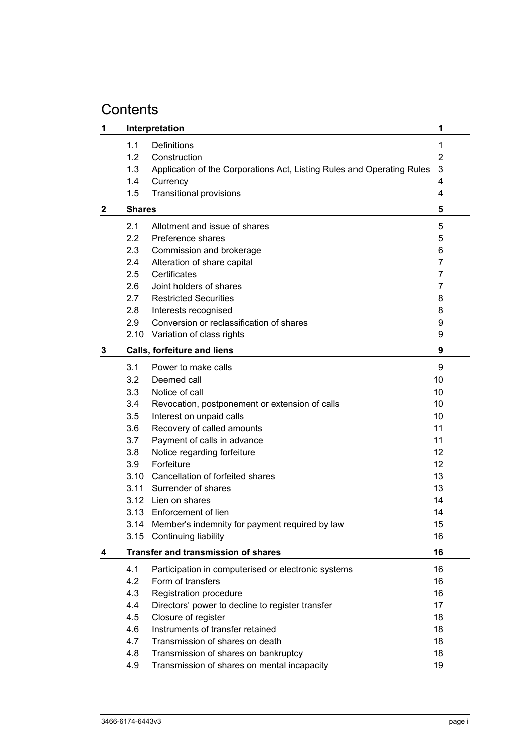# **Contents**

| 1            |               | Interpretation                                                         | 1  |
|--------------|---------------|------------------------------------------------------------------------|----|
|              | 1.1           | Definitions                                                            | 1  |
|              | 1.2           | Construction                                                           | 2  |
|              | 1.3           | Application of the Corporations Act, Listing Rules and Operating Rules | 3  |
|              | 1.4           | Currency                                                               | 4  |
|              | 1.5           | <b>Transitional provisions</b>                                         | 4  |
| $\mathbf{2}$ | <b>Shares</b> |                                                                        | 5  |
|              | 2.1           | Allotment and issue of shares                                          | 5  |
|              | 2.2           | Preference shares                                                      | 5  |
|              | 2.3           | Commission and brokerage                                               | 6  |
|              | 2.4           | Alteration of share capital                                            | 7  |
|              | 2.5           | Certificates                                                           | 7  |
|              | 2.6           | Joint holders of shares                                                | 7  |
|              | 2.7           | <b>Restricted Securities</b>                                           | 8  |
|              | 2.8           | Interests recognised                                                   | 8  |
|              | 2.9           | Conversion or reclassification of shares                               | 9  |
|              |               | 2.10 Variation of class rights                                         | 9  |
| 3            |               | <b>Calls, forfeiture and liens</b>                                     | 9  |
|              | 3.1           | Power to make calls                                                    | 9  |
|              | 3.2           | Deemed call                                                            | 10 |
|              | 3.3           | Notice of call                                                         | 10 |
|              | 3.4           | Revocation, postponement or extension of calls                         | 10 |
|              | 3.5           | Interest on unpaid calls                                               | 10 |
|              | 3.6           | Recovery of called amounts                                             | 11 |
|              | 3.7           | Payment of calls in advance                                            | 11 |
|              | 3.8           | Notice regarding forfeiture                                            | 12 |
|              | 3.9           | Forfeiture                                                             | 12 |
|              |               | 3.10 Cancellation of forfeited shares                                  | 13 |
|              | 3.11          | Surrender of shares                                                    | 13 |
|              |               | 3.12 Lien on shares                                                    | 14 |
|              |               | 3.13 Enforcement of lien                                               | 14 |
|              | 3.14          | Member's indemnity for payment required by law                         | 15 |
|              | 3.15          | Continuing liability                                                   | 16 |
| 4            |               | <b>Transfer and transmission of shares</b>                             | 16 |
|              | 4.1           | Participation in computerised or electronic systems                    | 16 |
|              | 4.2           | Form of transfers                                                      | 16 |
|              | 4.3           | Registration procedure                                                 | 16 |
|              | 4.4           | Directors' power to decline to register transfer                       | 17 |
|              | 4.5           | Closure of register                                                    | 18 |
|              | 4.6           | Instruments of transfer retained                                       | 18 |
|              | 4.7           | Transmission of shares on death                                        | 18 |
|              | 4.8           | Transmission of shares on bankruptcy                                   | 18 |
|              | 4.9           | Transmission of shares on mental incapacity                            | 19 |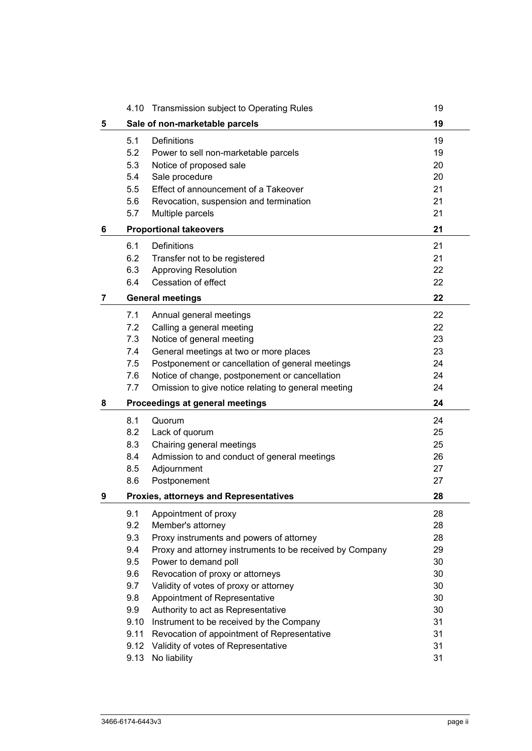|   | 4.10 | Transmission subject to Operating Rules                  | 19 |
|---|------|----------------------------------------------------------|----|
| 5 |      | Sale of non-marketable parcels                           | 19 |
|   | 5.1  | <b>Definitions</b>                                       | 19 |
|   | 5.2  | Power to sell non-marketable parcels                     | 19 |
|   | 5.3  | Notice of proposed sale                                  | 20 |
|   | 5.4  | Sale procedure                                           | 20 |
|   | 5.5  | Effect of announcement of a Takeover                     | 21 |
|   | 5.6  | Revocation, suspension and termination                   | 21 |
|   | 5.7  | Multiple parcels                                         | 21 |
| 6 |      | <b>Proportional takeovers</b>                            | 21 |
|   | 6.1  | Definitions                                              | 21 |
|   | 6.2  | Transfer not to be registered                            | 21 |
|   | 6.3  | <b>Approving Resolution</b>                              | 22 |
|   | 6.4  | Cessation of effect                                      | 22 |
| 7 |      | <b>General meetings</b>                                  | 22 |
|   | 7.1  | Annual general meetings                                  | 22 |
|   | 7.2  | Calling a general meeting                                | 22 |
|   | 7.3  | Notice of general meeting                                | 23 |
|   | 7.4  | General meetings at two or more places                   | 23 |
|   | 7.5  | Postponement or cancellation of general meetings         | 24 |
|   | 7.6  | Notice of change, postponement or cancellation           | 24 |
|   | 7.7  | Omission to give notice relating to general meeting      | 24 |
| 8 |      | Proceedings at general meetings                          | 24 |
|   | 8.1  | Quorum                                                   | 24 |
|   | 8.2  | Lack of quorum                                           | 25 |
|   | 8.3  | Chairing general meetings                                | 25 |
|   | 8.4  | Admission to and conduct of general meetings             | 26 |
|   | 8.5  | Adjournment                                              | 27 |
|   | 8.6  | Postponement                                             | 27 |
| 9 |      | <b>Proxies, attorneys and Representatives</b>            | 28 |
|   | 9.1  | Appointment of proxy                                     | 28 |
|   | 9.2  | Member's attorney                                        | 28 |
|   | 9.3  | Proxy instruments and powers of attorney                 | 28 |
|   | 9.4  | Proxy and attorney instruments to be received by Company | 29 |
|   | 9.5  | Power to demand poll                                     | 30 |
|   | 9.6  | Revocation of proxy or attorneys                         | 30 |
|   | 9.7  | Validity of votes of proxy or attorney                   | 30 |
|   | 9.8  | Appointment of Representative                            | 30 |
|   | 9.9  | Authority to act as Representative                       | 30 |
|   | 9.10 | Instrument to be received by the Company                 | 31 |
|   | 9.11 | Revocation of appointment of Representative              | 31 |
|   | 9.12 | Validity of votes of Representative                      | 31 |
|   | 9.13 | No liability                                             | 31 |
|   |      |                                                          |    |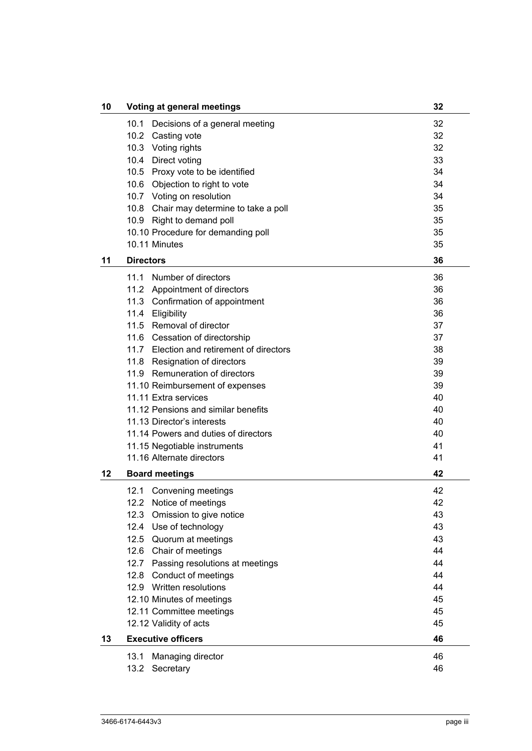| 10 | Voting at general meetings                | 32 |
|----|-------------------------------------------|----|
|    | 10.1<br>Decisions of a general meeting    | 32 |
|    | 10.2<br>Casting vote                      | 32 |
|    | 10.3 Voting rights                        | 32 |
|    | 10.4 Direct voting                        | 33 |
|    | 10.5 Proxy vote to be identified          | 34 |
|    | 10.6 Objection to right to vote           | 34 |
|    | 10.7 Voting on resolution                 | 34 |
|    | 10.8 Chair may determine to take a poll   | 35 |
|    | 10.9 Right to demand poll                 | 35 |
|    | 10.10 Procedure for demanding poll        | 35 |
|    |                                           |    |
|    | 10.11 Minutes                             | 35 |
| 11 | <b>Directors</b>                          | 36 |
|    | 11.1<br>Number of directors               | 36 |
|    | 11.2 Appointment of directors             | 36 |
|    | 11.3 Confirmation of appointment          | 36 |
|    | 11.4 Eligibility                          | 36 |
|    | 11.5 Removal of director                  | 37 |
|    | 11.6 Cessation of directorship            | 37 |
|    | 11.7 Election and retirement of directors | 38 |
|    | 11.8 Resignation of directors             | 39 |
|    | 11.9 Remuneration of directors            | 39 |
|    | 11.10 Reimbursement of expenses           | 39 |
|    | 11.11 Extra services                      | 40 |
|    | 11.12 Pensions and similar benefits       | 40 |
|    | 11.13 Director's interests                | 40 |
|    | 11.14 Powers and duties of directors      | 40 |
|    | 11.15 Negotiable instruments              | 41 |
|    | 11.16 Alternate directors                 | 41 |
|    |                                           |    |
| 12 | <b>Board meetings</b>                     | 42 |
|    | 12.1<br>Convening meetings                | 42 |
|    | 12.2 Notice of meetings                   | 42 |
|    | 12.3 Omission to give notice              | 43 |
|    | 12.4<br>Use of technology                 | 43 |
|    | 12.5 Quorum at meetings                   | 43 |
|    | 12.6 Chair of meetings                    | 44 |
|    | 12.7 Passing resolutions at meetings      | 44 |
|    | 12.8<br>Conduct of meetings               | 44 |
|    | 12.9 Written resolutions                  | 44 |
|    | 12.10 Minutes of meetings                 | 45 |
|    | 12.11 Committee meetings                  | 45 |
|    | 12.12 Validity of acts                    | 45 |
| 13 | <b>Executive officers</b>                 | 46 |
|    | 13.1<br>Managing director                 | 46 |
|    | 13.2<br>Secretary                         | 46 |
|    |                                           |    |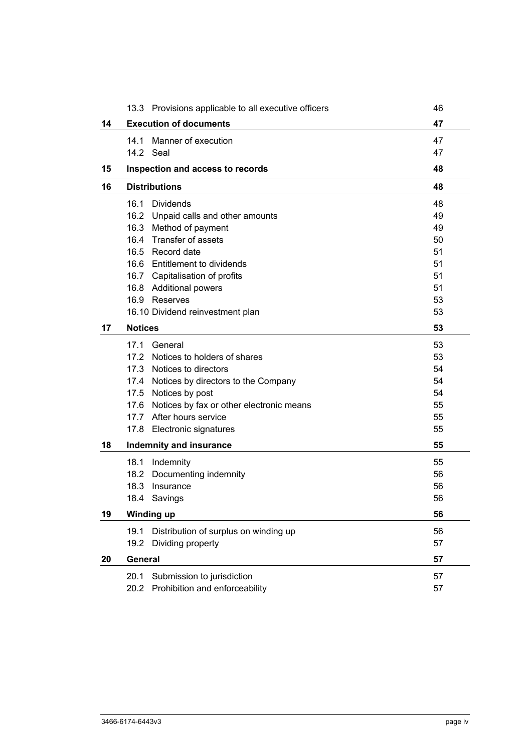|    | 13.3 Provisions applicable to all executive officers | 46 |
|----|------------------------------------------------------|----|
| 14 | <b>Execution of documents</b>                        | 47 |
|    | 14.1<br>Manner of execution                          | 47 |
|    | 14.2 Seal                                            | 47 |
| 15 | Inspection and access to records                     | 48 |
| 16 | <b>Distributions</b>                                 | 48 |
|    | 16.1<br>Dividends                                    | 48 |
|    | 16.2 Unpaid calls and other amounts                  | 49 |
|    | 16.3 Method of payment                               | 49 |
|    | 16.4 Transfer of assets                              | 50 |
|    | 16.5 Record date                                     | 51 |
|    | 16.6 Entitlement to dividends                        | 51 |
|    | 16.7 Capitalisation of profits                       | 51 |
|    | 16.8 Additional powers                               | 51 |
|    | 16.9 Reserves                                        | 53 |
|    | 16.10 Dividend reinvestment plan                     | 53 |
| 17 | <b>Notices</b>                                       | 53 |
|    | 17.1<br>General                                      | 53 |
|    | 17.2 Notices to holders of shares                    | 53 |
|    | 17.3 Notices to directors                            | 54 |
|    | 17.4 Notices by directors to the Company             | 54 |
|    | 17.5 Notices by post                                 | 54 |
|    | 17.6 Notices by fax or other electronic means        | 55 |
|    | 17.7 After hours service                             | 55 |
|    | 17.8 Electronic signatures                           | 55 |
| 18 | <b>Indemnity and insurance</b>                       | 55 |
|    | 18.1 Indemnity                                       | 55 |
|    | 18.2 Documenting indemnity                           | 56 |
|    | 18.3<br>Insurance                                    | 56 |
|    | 18.4<br>Savings                                      | 56 |
| 19 | <b>Winding up</b>                                    | 56 |
|    | 19.1<br>Distribution of surplus on winding up        | 56 |
|    | 19.2<br>Dividing property                            | 57 |
| 20 | General                                              | 57 |
|    | Submission to jurisdiction<br>20.1                   | 57 |
|    | Prohibition and enforceability<br>20.2               | 57 |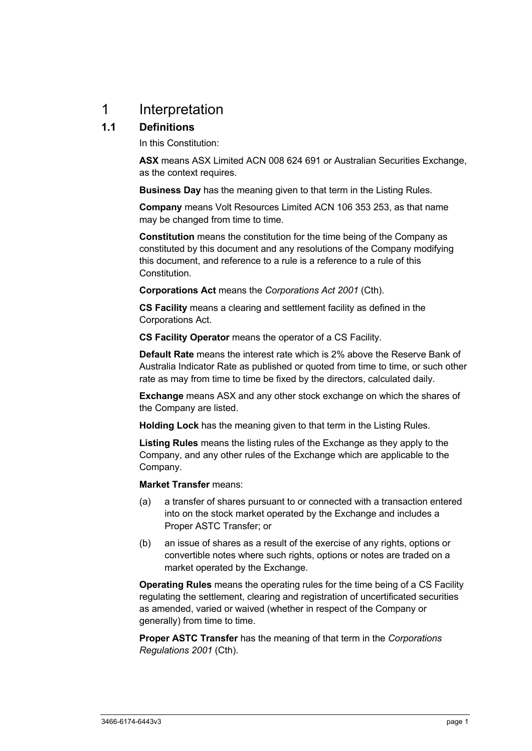# 1 Interpretation

# **1.1 Definitions**

In this Constitution:

**ASX** means ASX Limited ACN 008 624 691 or Australian Securities Exchange, as the context requires.

**Business Day** has the meaning given to that term in the Listing Rules.

**Company** means Volt Resources Limited ACN 106 353 253, as that name may be changed from time to time.

**Constitution** means the constitution for the time being of the Company as constituted by this document and any resolutions of the Company modifying this document, and reference to a rule is a reference to a rule of this Constitution.

**Corporations Act** means the *Corporations Act 2001* (Cth).

**CS Facility** means a clearing and settlement facility as defined in the Corporations Act.

**CS Facility Operator** means the operator of a CS Facility.

**Default Rate** means the interest rate which is 2% above the Reserve Bank of Australia Indicator Rate as published or quoted from time to time, or such other rate as may from time to time be fixed by the directors, calculated daily.

**Exchange** means ASX and any other stock exchange on which the shares of the Company are listed.

**Holding Lock** has the meaning given to that term in the Listing Rules.

**Listing Rules** means the listing rules of the Exchange as they apply to the Company, and any other rules of the Exchange which are applicable to the Company.

**Market Transfer** means:

- (a) a transfer of shares pursuant to or connected with a transaction entered into on the stock market operated by the Exchange and includes a Proper ASTC Transfer; or
- (b) an issue of shares as a result of the exercise of any rights, options or convertible notes where such rights, options or notes are traded on a market operated by the Exchange.

**Operating Rules** means the operating rules for the time being of a CS Facility regulating the settlement, clearing and registration of uncertificated securities as amended, varied or waived (whether in respect of the Company or generally) from time to time.

**Proper ASTC Transfer** has the meaning of that term in the *Corporations Regulations 2001* (Cth).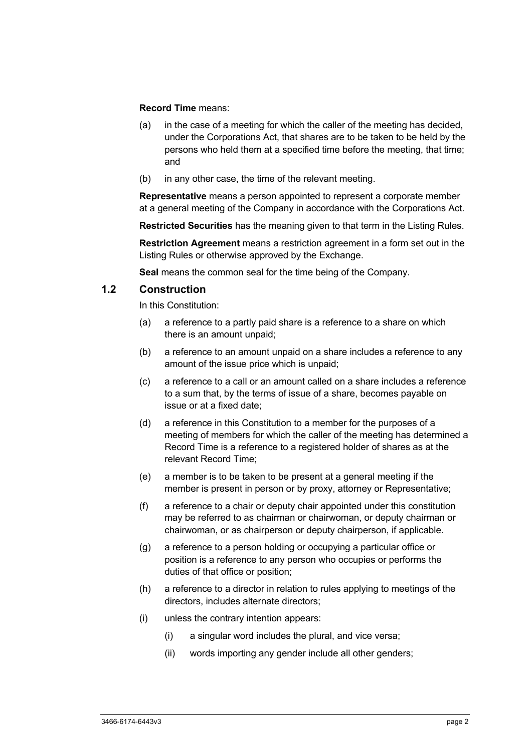#### **Record Time** means:

- (a) in the case of a meeting for which the caller of the meeting has decided, under the Corporations Act, that shares are to be taken to be held by the persons who held them at a specified time before the meeting, that time; and
- (b) in any other case, the time of the relevant meeting.

**Representative** means a person appointed to represent a corporate member at a general meeting of the Company in accordance with the Corporations Act.

**Restricted Securities** has the meaning given to that term in the Listing Rules.

**Restriction Agreement** means a restriction agreement in a form set out in the Listing Rules or otherwise approved by the Exchange.

**Seal** means the common seal for the time being of the Company.

## **1.2 Construction**

In this Constitution:

- (a) a reference to a partly paid share is a reference to a share on which there is an amount unpaid;
- (b) a reference to an amount unpaid on a share includes a reference to any amount of the issue price which is unpaid;
- (c) a reference to a call or an amount called on a share includes a reference to a sum that, by the terms of issue of a share, becomes payable on issue or at a fixed date;
- (d) a reference in this Constitution to a member for the purposes of a meeting of members for which the caller of the meeting has determined a Record Time is a reference to a registered holder of shares as at the relevant Record Time;
- (e) a member is to be taken to be present at a general meeting if the member is present in person or by proxy, attorney or Representative;
- (f) a reference to a chair or deputy chair appointed under this constitution may be referred to as chairman or chairwoman, or deputy chairman or chairwoman, or as chairperson or deputy chairperson, if applicable.
- (g) a reference to a person holding or occupying a particular office or position is a reference to any person who occupies or performs the duties of that office or position;
- (h) a reference to a director in relation to rules applying to meetings of the directors, includes alternate directors;
- (i) unless the contrary intention appears:
	- (i) a singular word includes the plural, and vice versa;
	- (ii) words importing any gender include all other genders;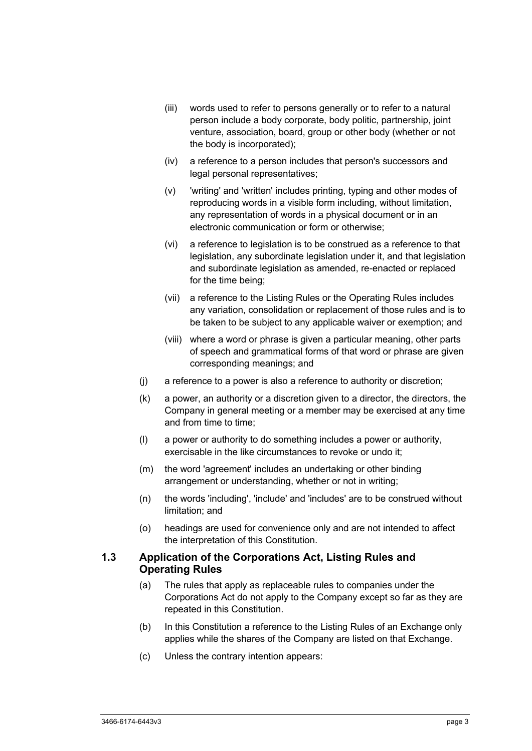- (iii) words used to refer to persons generally or to refer to a natural person include a body corporate, body politic, partnership, joint venture, association, board, group or other body (whether or not the body is incorporated);
- (iv) a reference to a person includes that person's successors and legal personal representatives;
- (v) 'writing' and 'written' includes printing, typing and other modes of reproducing words in a visible form including, without limitation, any representation of words in a physical document or in an electronic communication or form or otherwise;
- (vi) a reference to legislation is to be construed as a reference to that legislation, any subordinate legislation under it, and that legislation and subordinate legislation as amended, re-enacted or replaced for the time being;
- (vii) a reference to the Listing Rules or the Operating Rules includes any variation, consolidation or replacement of those rules and is to be taken to be subject to any applicable waiver or exemption; and
- (viii) where a word or phrase is given a particular meaning, other parts of speech and grammatical forms of that word or phrase are given corresponding meanings; and
- (j) a reference to a power is also a reference to authority or discretion;
- (k) a power, an authority or a discretion given to a director, the directors, the Company in general meeting or a member may be exercised at any time and from time to time;
- (l) a power or authority to do something includes a power or authority, exercisable in the like circumstances to revoke or undo it;
- (m) the word 'agreement' includes an undertaking or other binding arrangement or understanding, whether or not in writing;
- (n) the words 'including', 'include' and 'includes' are to be construed without limitation; and
- (o) headings are used for convenience only and are not intended to affect the interpretation of this Constitution.

#### **1.3 Application of the Corporations Act, Listing Rules and Operating Rules**

- (a) The rules that apply as replaceable rules to companies under the Corporations Act do not apply to the Company except so far as they are repeated in this Constitution.
- (b) In this Constitution a reference to the Listing Rules of an Exchange only applies while the shares of the Company are listed on that Exchange.
- (c) Unless the contrary intention appears: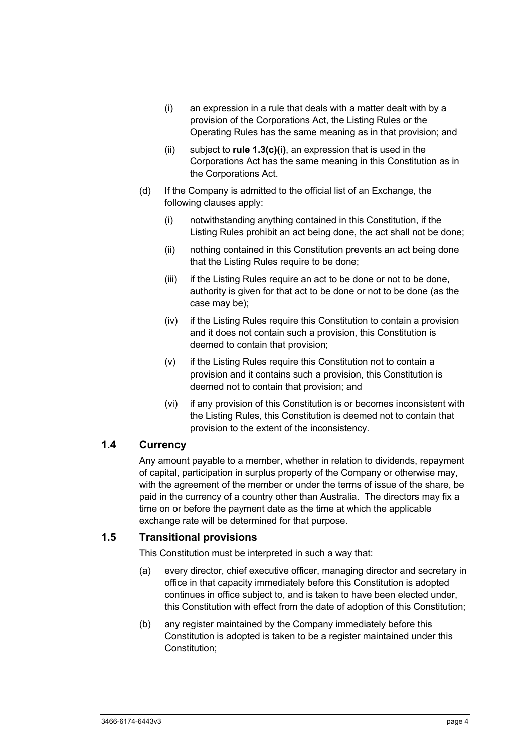- (i) an expression in a rule that deals with a matter dealt with by a provision of the Corporations Act, the Listing Rules or the Operating Rules has the same meaning as in that provision; and
- (ii) subject to **rule 1.3(c)(i)**, an expression that is used in the Corporations Act has the same meaning in this Constitution as in the Corporations Act.
- (d) If the Company is admitted to the official list of an Exchange, the following clauses apply:
	- (i) notwithstanding anything contained in this Constitution, if the Listing Rules prohibit an act being done, the act shall not be done;
	- (ii) nothing contained in this Constitution prevents an act being done that the Listing Rules require to be done;
	- (iii) if the Listing Rules require an act to be done or not to be done, authority is given for that act to be done or not to be done (as the case may be);
	- (iv) if the Listing Rules require this Constitution to contain a provision and it does not contain such a provision, this Constitution is deemed to contain that provision;
	- (v) if the Listing Rules require this Constitution not to contain a provision and it contains such a provision, this Constitution is deemed not to contain that provision; and
	- (vi) if any provision of this Constitution is or becomes inconsistent with the Listing Rules, this Constitution is deemed not to contain that provision to the extent of the inconsistency.

# **1.4 Currency**

Any amount payable to a member, whether in relation to dividends, repayment of capital, participation in surplus property of the Company or otherwise may, with the agreement of the member or under the terms of issue of the share, be paid in the currency of a country other than Australia. The directors may fix a time on or before the payment date as the time at which the applicable exchange rate will be determined for that purpose.

## **1.5 Transitional provisions**

This Constitution must be interpreted in such a way that:

- (a) every director, chief executive officer, managing director and secretary in office in that capacity immediately before this Constitution is adopted continues in office subject to, and is taken to have been elected under, this Constitution with effect from the date of adoption of this Constitution;
- (b) any register maintained by the Company immediately before this Constitution is adopted is taken to be a register maintained under this Constitution;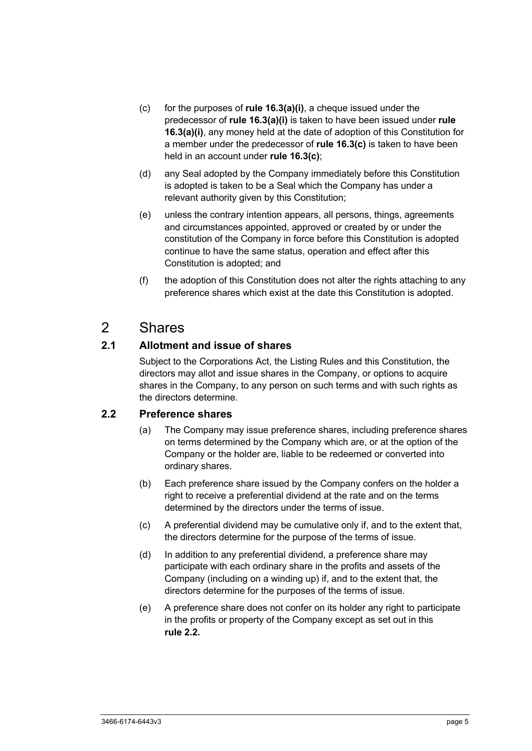- (c) for the purposes of **rule 16.3(a)(i)**, a cheque issued under the predecessor of **rule 16.3(a)(i)** is taken to have been issued under **rule 16.3(a)(i)**, any money held at the date of adoption of this Constitution for a member under the predecessor of **rule 16.3(c)** is taken to have been held in an account under **rule 16.3(c)**;
- (d) any Seal adopted by the Company immediately before this Constitution is adopted is taken to be a Seal which the Company has under a relevant authority given by this Constitution;
- (e) unless the contrary intention appears, all persons, things, agreements and circumstances appointed, approved or created by or under the constitution of the Company in force before this Constitution is adopted continue to have the same status, operation and effect after this Constitution is adopted; and
- (f) the adoption of this Constitution does not alter the rights attaching to any preference shares which exist at the date this Constitution is adopted.

# 2 Shares

# **2.1 Allotment and issue of shares**

Subject to the Corporations Act, the Listing Rules and this Constitution, the directors may allot and issue shares in the Company, or options to acquire shares in the Company, to any person on such terms and with such rights as the directors determine.

## **2.2 Preference shares**

- (a) The Company may issue preference shares, including preference shares on terms determined by the Company which are, or at the option of the Company or the holder are, liable to be redeemed or converted into ordinary shares.
- (b) Each preference share issued by the Company confers on the holder a right to receive a preferential dividend at the rate and on the terms determined by the directors under the terms of issue.
- (c) A preferential dividend may be cumulative only if, and to the extent that, the directors determine for the purpose of the terms of issue.
- (d) In addition to any preferential dividend, a preference share may participate with each ordinary share in the profits and assets of the Company (including on a winding up) if, and to the extent that, the directors determine for the purposes of the terms of issue.
- (e) A preference share does not confer on its holder any right to participate in the profits or property of the Company except as set out in this **rule 2.2.**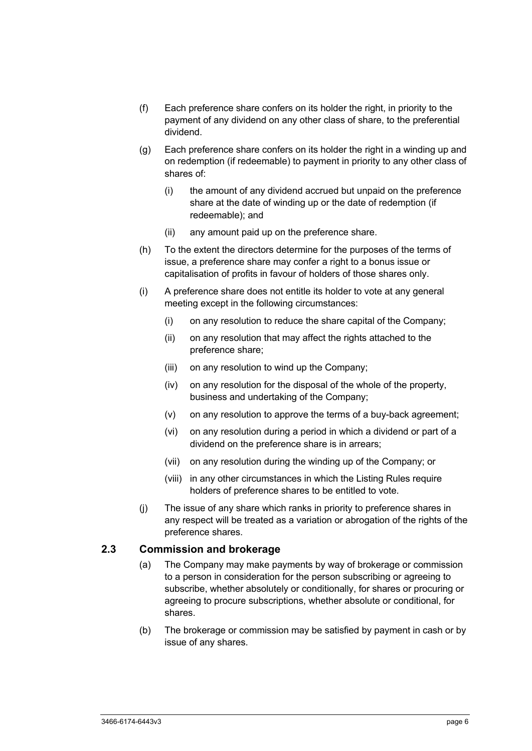- (f) Each preference share confers on its holder the right, in priority to the payment of any dividend on any other class of share, to the preferential dividend.
- (g) Each preference share confers on its holder the right in a winding up and on redemption (if redeemable) to payment in priority to any other class of shares of:
	- (i) the amount of any dividend accrued but unpaid on the preference share at the date of winding up or the date of redemption (if redeemable); and
	- (ii) any amount paid up on the preference share.
- (h) To the extent the directors determine for the purposes of the terms of issue, a preference share may confer a right to a bonus issue or capitalisation of profits in favour of holders of those shares only.
- (i) A preference share does not entitle its holder to vote at any general meeting except in the following circumstances:
	- (i) on any resolution to reduce the share capital of the Company;
	- (ii) on any resolution that may affect the rights attached to the preference share;
	- (iii) on any resolution to wind up the Company;
	- (iv) on any resolution for the disposal of the whole of the property, business and undertaking of the Company;
	- (v) on any resolution to approve the terms of a buy-back agreement;
	- (vi) on any resolution during a period in which a dividend or part of a dividend on the preference share is in arrears;
	- (vii) on any resolution during the winding up of the Company; or
	- (viii) in any other circumstances in which the Listing Rules require holders of preference shares to be entitled to vote.
- (j) The issue of any share which ranks in priority to preference shares in any respect will be treated as a variation or abrogation of the rights of the preference shares.

#### **2.3 Commission and brokerage**

- (a) The Company may make payments by way of brokerage or commission to a person in consideration for the person subscribing or agreeing to subscribe, whether absolutely or conditionally, for shares or procuring or agreeing to procure subscriptions, whether absolute or conditional, for shares.
- (b) The brokerage or commission may be satisfied by payment in cash or by issue of any shares.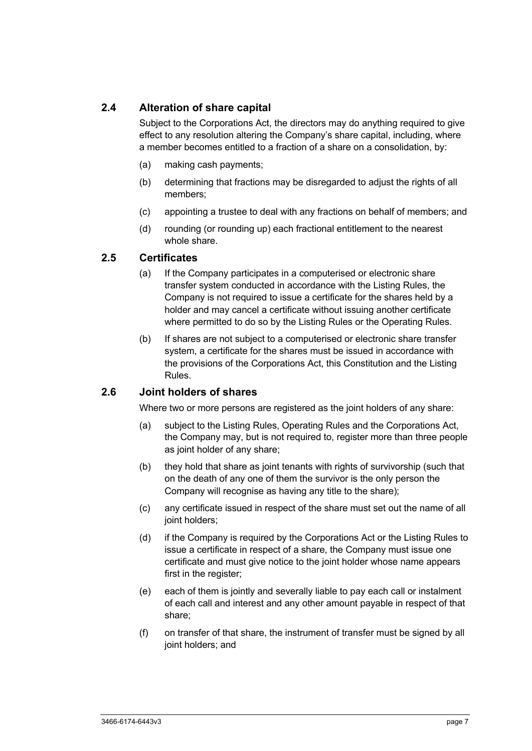# **2.4 Alteration of share capital**

Subject to the Corporations Act, the directors may do anything required to give effect to any resolution altering the Company's share capital, including, where a member becomes entitled to a fraction of a share on a consolidation, by:

- (a) making cash payments;
- (b) determining that fractions may be disregarded to adjust the rights of all members;
- (c) appointing a trustee to deal with any fractions on behalf of members; and
- (d) rounding (or rounding up) each fractional entitlement to the nearest whole share.

# **2.5 Certificates**

- (a) If the Company participates in a computerised or electronic share transfer system conducted in accordance with the Listing Rules, the Company is not required to issue a certificate for the shares held by a holder and may cancel a certificate without issuing another certificate where permitted to do so by the Listing Rules or the Operating Rules.
- (b) If shares are not subject to a computerised or electronic share transfer system, a certificate for the shares must be issued in accordance with the provisions of the Corporations Act, this Constitution and the Listing Rules.

## **2.6 Joint holders of shares**

Where two or more persons are registered as the joint holders of any share:

- (a) subject to the Listing Rules, Operating Rules and the Corporations Act, the Company may, but is not required to, register more than three people as joint holder of any share;
- (b) they hold that share as joint tenants with rights of survivorship (such that on the death of any one of them the survivor is the only person the Company will recognise as having any title to the share);
- (c) any certificate issued in respect of the share must set out the name of all joint holders;
- (d) if the Company is required by the Corporations Act or the Listing Rules to issue a certificate in respect of a share, the Company must issue one certificate and must give notice to the joint holder whose name appears first in the register;
- (e) each of them is jointly and severally liable to pay each call or instalment of each call and interest and any other amount payable in respect of that share;
- (f) on transfer of that share, the instrument of transfer must be signed by all joint holders; and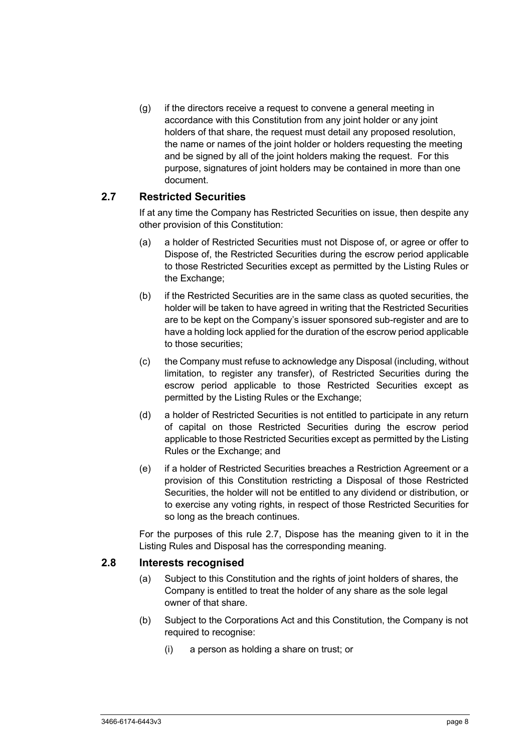(g) if the directors receive a request to convene a general meeting in accordance with this Constitution from any joint holder or any joint holders of that share, the request must detail any proposed resolution, the name or names of the joint holder or holders requesting the meeting and be signed by all of the joint holders making the request. For this purpose, signatures of joint holders may be contained in more than one document.

## **2.7 Restricted Securities**

If at any time the Company has Restricted Securities on issue, then despite any other provision of this Constitution:

- (a) a holder of Restricted Securities must not Dispose of, or agree or offer to Dispose of, the Restricted Securities during the escrow period applicable to those Restricted Securities except as permitted by the Listing Rules or the Exchange;
- (b) if the Restricted Securities are in the same class as quoted securities, the holder will be taken to have agreed in writing that the Restricted Securities are to be kept on the Company's issuer sponsored sub-register and are to have a holding lock applied for the duration of the escrow period applicable to those securities;
- (c) the Company must refuse to acknowledge any Disposal (including, without limitation, to register any transfer), of Restricted Securities during the escrow period applicable to those Restricted Securities except as permitted by the Listing Rules or the Exchange;
- (d) a holder of Restricted Securities is not entitled to participate in any return of capital on those Restricted Securities during the escrow period applicable to those Restricted Securities except as permitted by the Listing Rules or the Exchange; and
- (e) if a holder of Restricted Securities breaches a Restriction Agreement or a provision of this Constitution restricting a Disposal of those Restricted Securities, the holder will not be entitled to any dividend or distribution, or to exercise any voting rights, in respect of those Restricted Securities for so long as the breach continues.

For the purposes of this rule 2.7, Dispose has the meaning given to it in the Listing Rules and Disposal has the corresponding meaning.

# **2.8 Interests recognised**

- (a) Subject to this Constitution and the rights of joint holders of shares, the Company is entitled to treat the holder of any share as the sole legal owner of that share.
- (b) Subject to the Corporations Act and this Constitution, the Company is not required to recognise:
	- (i) a person as holding a share on trust; or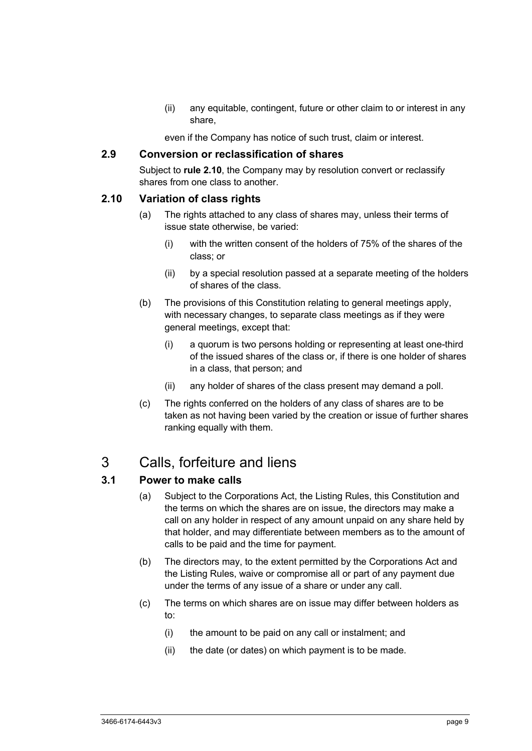(ii) any equitable, contingent, future or other claim to or interest in any share,

even if the Company has notice of such trust, claim or interest.

### **2.9 Conversion or reclassification of shares**

Subject to **rule 2.10**, the Company may by resolution convert or reclassify shares from one class to another.

#### **2.10 Variation of class rights**

- (a) The rights attached to any class of shares may, unless their terms of issue state otherwise, be varied:
	- (i) with the written consent of the holders of 75% of the shares of the class; or
	- (ii) by a special resolution passed at a separate meeting of the holders of shares of the class.
- (b) The provisions of this Constitution relating to general meetings apply, with necessary changes, to separate class meetings as if they were general meetings, except that:
	- (i) a quorum is two persons holding or representing at least one-third of the issued shares of the class or, if there is one holder of shares in a class, that person; and
	- (ii) any holder of shares of the class present may demand a poll.
- (c) The rights conferred on the holders of any class of shares are to be taken as not having been varied by the creation or issue of further shares ranking equally with them.

# 3 Calls, forfeiture and liens

#### **3.1 Power to make calls**

- (a) Subject to the Corporations Act, the Listing Rules, this Constitution and the terms on which the shares are on issue, the directors may make a call on any holder in respect of any amount unpaid on any share held by that holder, and may differentiate between members as to the amount of calls to be paid and the time for payment.
- (b) The directors may, to the extent permitted by the Corporations Act and the Listing Rules, waive or compromise all or part of any payment due under the terms of any issue of a share or under any call.
- (c) The terms on which shares are on issue may differ between holders as to:
	- (i) the amount to be paid on any call or instalment; and
	- (ii) the date (or dates) on which payment is to be made.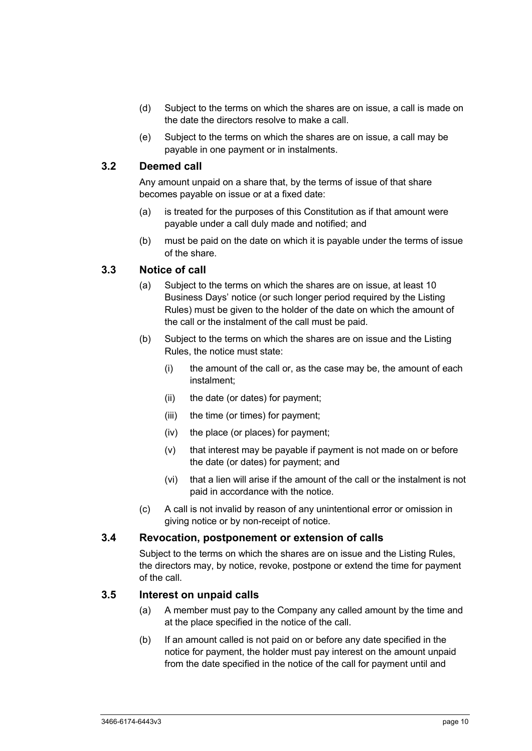- (d) Subject to the terms on which the shares are on issue, a call is made on the date the directors resolve to make a call.
- (e) Subject to the terms on which the shares are on issue, a call may be payable in one payment or in instalments.

## **3.2 Deemed call**

Any amount unpaid on a share that, by the terms of issue of that share becomes payable on issue or at a fixed date:

- (a) is treated for the purposes of this Constitution as if that amount were payable under a call duly made and notified; and
- (b) must be paid on the date on which it is payable under the terms of issue of the share.

## **3.3 Notice of call**

- (a) Subject to the terms on which the shares are on issue, at least 10 Business Days' notice (or such longer period required by the Listing Rules) must be given to the holder of the date on which the amount of the call or the instalment of the call must be paid.
- (b) Subject to the terms on which the shares are on issue and the Listing Rules, the notice must state:
	- (i) the amount of the call or, as the case may be, the amount of each instalment;
	- (ii) the date (or dates) for payment;
	- (iii) the time (or times) for payment;
	- (iv) the place (or places) for payment;
	- (v) that interest may be payable if payment is not made on or before the date (or dates) for payment; and
	- (vi) that a lien will arise if the amount of the call or the instalment is not paid in accordance with the notice.
- (c) A call is not invalid by reason of any unintentional error or omission in giving notice or by non-receipt of notice.

#### **3.4 Revocation, postponement or extension of calls**

Subject to the terms on which the shares are on issue and the Listing Rules, the directors may, by notice, revoke, postpone or extend the time for payment of the call.

#### **3.5 Interest on unpaid calls**

- (a) A member must pay to the Company any called amount by the time and at the place specified in the notice of the call.
- (b) If an amount called is not paid on or before any date specified in the notice for payment, the holder must pay interest on the amount unpaid from the date specified in the notice of the call for payment until and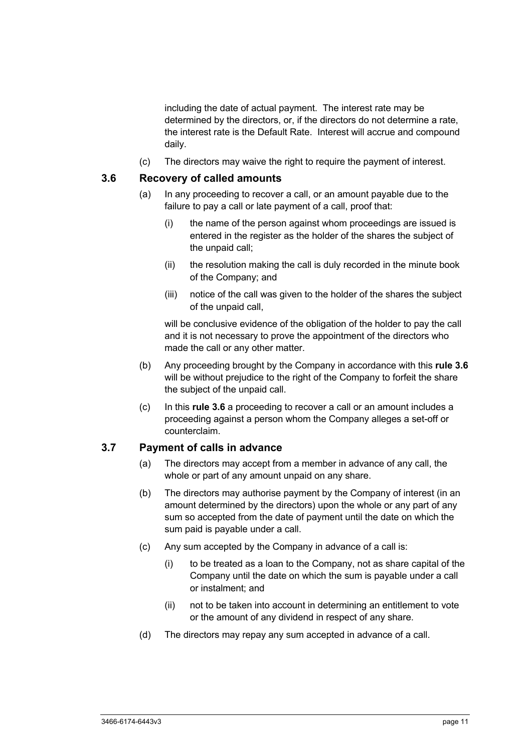including the date of actual payment. The interest rate may be determined by the directors, or, if the directors do not determine a rate, the interest rate is the Default Rate. Interest will accrue and compound daily.

(c) The directors may waive the right to require the payment of interest.

#### **3.6 Recovery of called amounts**

- (a) In any proceeding to recover a call, or an amount payable due to the failure to pay a call or late payment of a call, proof that:
	- (i) the name of the person against whom proceedings are issued is entered in the register as the holder of the shares the subject of the unpaid call;
	- (ii) the resolution making the call is duly recorded in the minute book of the Company; and
	- (iii) notice of the call was given to the holder of the shares the subject of the unpaid call,

will be conclusive evidence of the obligation of the holder to pay the call and it is not necessary to prove the appointment of the directors who made the call or any other matter.

- (b) Any proceeding brought by the Company in accordance with this **rule 3.6** will be without prejudice to the right of the Company to forfeit the share the subject of the unpaid call.
- (c) In this **rule 3.6** a proceeding to recover a call or an amount includes a proceeding against a person whom the Company alleges a set-off or counterclaim.

#### **3.7 Payment of calls in advance**

- (a) The directors may accept from a member in advance of any call, the whole or part of any amount unpaid on any share.
- (b) The directors may authorise payment by the Company of interest (in an amount determined by the directors) upon the whole or any part of any sum so accepted from the date of payment until the date on which the sum paid is payable under a call.
- (c) Any sum accepted by the Company in advance of a call is:
	- (i) to be treated as a loan to the Company, not as share capital of the Company until the date on which the sum is payable under a call or instalment; and
	- (ii) not to be taken into account in determining an entitlement to vote or the amount of any dividend in respect of any share.
- (d) The directors may repay any sum accepted in advance of a call.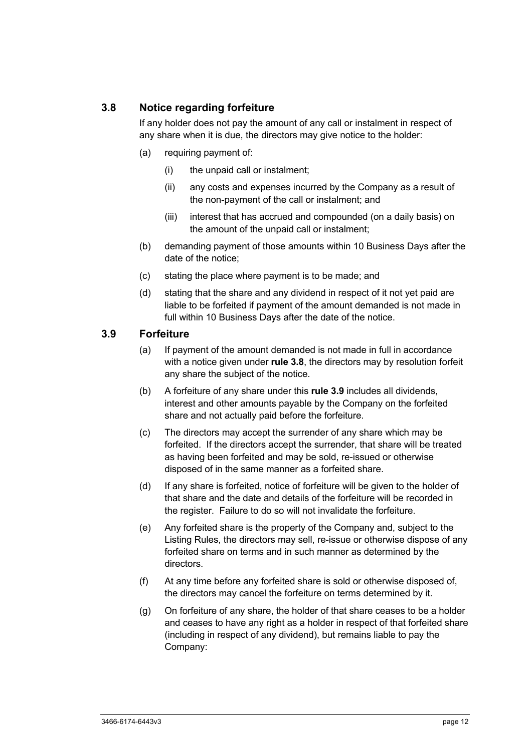# **3.8 Notice regarding forfeiture**

If any holder does not pay the amount of any call or instalment in respect of any share when it is due, the directors may give notice to the holder:

- (a) requiring payment of:
	- (i) the unpaid call or instalment;
	- (ii) any costs and expenses incurred by the Company as a result of the non-payment of the call or instalment; and
	- (iii) interest that has accrued and compounded (on a daily basis) on the amount of the unpaid call or instalment;
- (b) demanding payment of those amounts within 10 Business Days after the date of the notice;
- (c) stating the place where payment is to be made; and
- (d) stating that the share and any dividend in respect of it not yet paid are liable to be forfeited if payment of the amount demanded is not made in full within 10 Business Days after the date of the notice.

#### **3.9 Forfeiture**

- (a) If payment of the amount demanded is not made in full in accordance with a notice given under **rule 3.8**, the directors may by resolution forfeit any share the subject of the notice.
- (b) A forfeiture of any share under this **rule 3.9** includes all dividends, interest and other amounts payable by the Company on the forfeited share and not actually paid before the forfeiture.
- (c) The directors may accept the surrender of any share which may be forfeited. If the directors accept the surrender, that share will be treated as having been forfeited and may be sold, re-issued or otherwise disposed of in the same manner as a forfeited share.
- (d) If any share is forfeited, notice of forfeiture will be given to the holder of that share and the date and details of the forfeiture will be recorded in the register. Failure to do so will not invalidate the forfeiture.
- (e) Any forfeited share is the property of the Company and, subject to the Listing Rules, the directors may sell, re-issue or otherwise dispose of any forfeited share on terms and in such manner as determined by the directors.
- (f) At any time before any forfeited share is sold or otherwise disposed of, the directors may cancel the forfeiture on terms determined by it.
- (g) On forfeiture of any share, the holder of that share ceases to be a holder and ceases to have any right as a holder in respect of that forfeited share (including in respect of any dividend), but remains liable to pay the Company: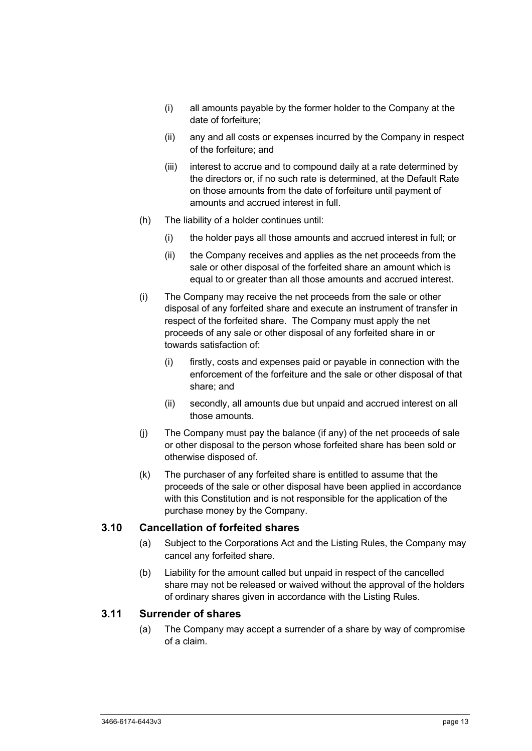- (i) all amounts payable by the former holder to the Company at the date of forfeiture;
- (ii) any and all costs or expenses incurred by the Company in respect of the forfeiture; and
- (iii) interest to accrue and to compound daily at a rate determined by the directors or, if no such rate is determined, at the Default Rate on those amounts from the date of forfeiture until payment of amounts and accrued interest in full.
- (h) The liability of a holder continues until:
	- (i) the holder pays all those amounts and accrued interest in full; or
	- (ii) the Company receives and applies as the net proceeds from the sale or other disposal of the forfeited share an amount which is equal to or greater than all those amounts and accrued interest.
- (i) The Company may receive the net proceeds from the sale or other disposal of any forfeited share and execute an instrument of transfer in respect of the forfeited share. The Company must apply the net proceeds of any sale or other disposal of any forfeited share in or towards satisfaction of:
	- (i) firstly, costs and expenses paid or payable in connection with the enforcement of the forfeiture and the sale or other disposal of that share; and
	- (ii) secondly, all amounts due but unpaid and accrued interest on all those amounts.
- (j) The Company must pay the balance (if any) of the net proceeds of sale or other disposal to the person whose forfeited share has been sold or otherwise disposed of.
- (k) The purchaser of any forfeited share is entitled to assume that the proceeds of the sale or other disposal have been applied in accordance with this Constitution and is not responsible for the application of the purchase money by the Company.

#### **3.10 Cancellation of forfeited shares**

- (a) Subject to the Corporations Act and the Listing Rules, the Company may cancel any forfeited share.
- (b) Liability for the amount called but unpaid in respect of the cancelled share may not be released or waived without the approval of the holders of ordinary shares given in accordance with the Listing Rules.

#### **3.11 Surrender of shares**

(a) The Company may accept a surrender of a share by way of compromise of a claim.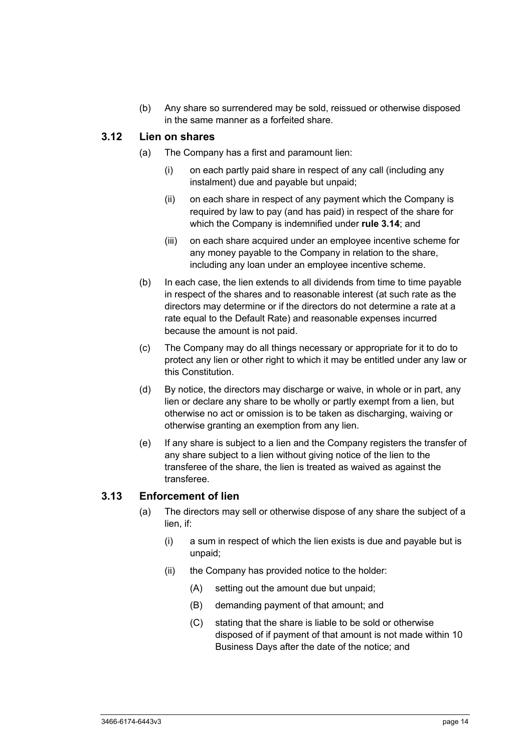(b) Any share so surrendered may be sold, reissued or otherwise disposed in the same manner as a forfeited share.

#### **3.12 Lien on shares**

- (a) The Company has a first and paramount lien:
	- (i) on each partly paid share in respect of any call (including any instalment) due and payable but unpaid;
	- (ii) on each share in respect of any payment which the Company is required by law to pay (and has paid) in respect of the share for which the Company is indemnified under **rule 3.14**; and
	- (iii) on each share acquired under an employee incentive scheme for any money payable to the Company in relation to the share, including any loan under an employee incentive scheme.
- (b) In each case, the lien extends to all dividends from time to time payable in respect of the shares and to reasonable interest (at such rate as the directors may determine or if the directors do not determine a rate at a rate equal to the Default Rate) and reasonable expenses incurred because the amount is not paid.
- (c) The Company may do all things necessary or appropriate for it to do to protect any lien or other right to which it may be entitled under any law or this Constitution.
- (d) By notice, the directors may discharge or waive, in whole or in part, any lien or declare any share to be wholly or partly exempt from a lien, but otherwise no act or omission is to be taken as discharging, waiving or otherwise granting an exemption from any lien.
- (e) If any share is subject to a lien and the Company registers the transfer of any share subject to a lien without giving notice of the lien to the transferee of the share, the lien is treated as waived as against the transferee.

## **3.13 Enforcement of lien**

- (a) The directors may sell or otherwise dispose of any share the subject of a lien, if:
	- (i) a sum in respect of which the lien exists is due and payable but is unpaid;
	- (ii) the Company has provided notice to the holder:
		- (A) setting out the amount due but unpaid;
		- (B) demanding payment of that amount; and
		- (C) stating that the share is liable to be sold or otherwise disposed of if payment of that amount is not made within 10 Business Days after the date of the notice; and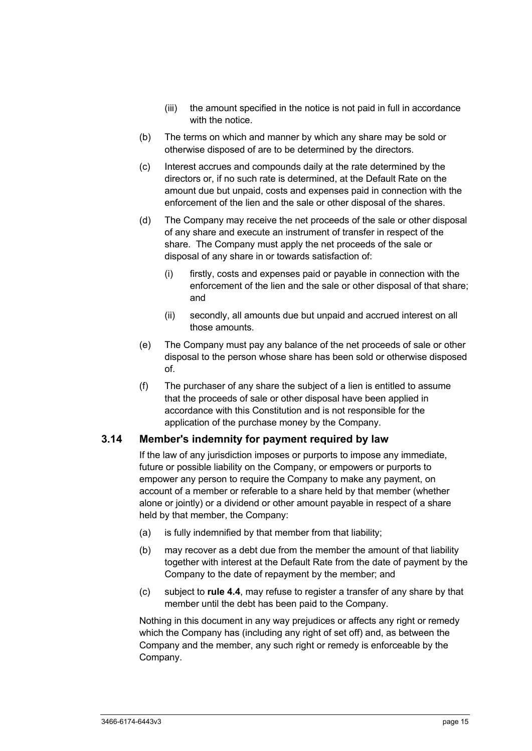- (iii) the amount specified in the notice is not paid in full in accordance with the notice.
- (b) The terms on which and manner by which any share may be sold or otherwise disposed of are to be determined by the directors.
- (c) Interest accrues and compounds daily at the rate determined by the directors or, if no such rate is determined, at the Default Rate on the amount due but unpaid, costs and expenses paid in connection with the enforcement of the lien and the sale or other disposal of the shares.
- (d) The Company may receive the net proceeds of the sale or other disposal of any share and execute an instrument of transfer in respect of the share. The Company must apply the net proceeds of the sale or disposal of any share in or towards satisfaction of:
	- (i) firstly, costs and expenses paid or payable in connection with the enforcement of the lien and the sale or other disposal of that share; and
	- (ii) secondly, all amounts due but unpaid and accrued interest on all those amounts.
- (e) The Company must pay any balance of the net proceeds of sale or other disposal to the person whose share has been sold or otherwise disposed of.
- (f) The purchaser of any share the subject of a lien is entitled to assume that the proceeds of sale or other disposal have been applied in accordance with this Constitution and is not responsible for the application of the purchase money by the Company.

#### **3.14 Member's indemnity for payment required by law**

If the law of any jurisdiction imposes or purports to impose any immediate, future or possible liability on the Company, or empowers or purports to empower any person to require the Company to make any payment, on account of a member or referable to a share held by that member (whether alone or jointly) or a dividend or other amount payable in respect of a share held by that member, the Company:

- (a) is fully indemnified by that member from that liability;
- (b) may recover as a debt due from the member the amount of that liability together with interest at the Default Rate from the date of payment by the Company to the date of repayment by the member; and
- (c) subject to **rule 4.4**, may refuse to register a transfer of any share by that member until the debt has been paid to the Company.

Nothing in this document in any way prejudices or affects any right or remedy which the Company has (including any right of set off) and, as between the Company and the member, any such right or remedy is enforceable by the Company.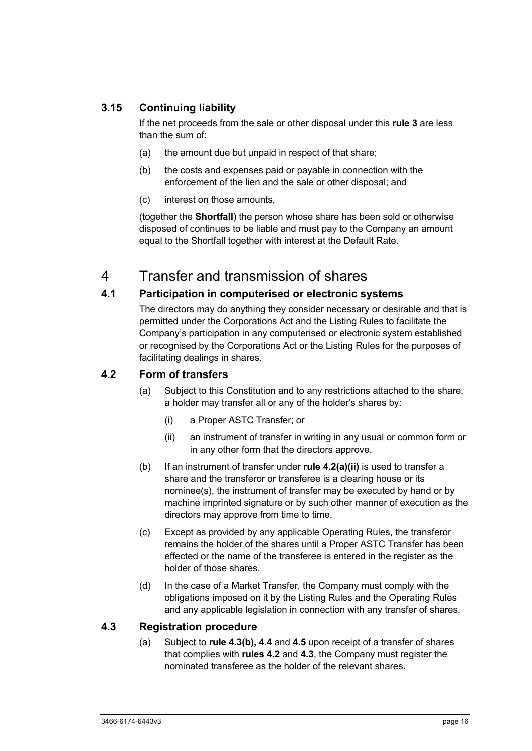# **3.15 Continuing liability**

If the net proceeds from the sale or other disposal under this **rule 3** are less than the sum of:

- (a) the amount due but unpaid in respect of that share;
- (b) the costs and expenses paid or payable in connection with the enforcement of the lien and the sale or other disposal; and
- (c) interest on those amounts,

(together the **Shortfall**) the person whose share has been sold or otherwise disposed of continues to be liable and must pay to the Company an amount equal to the Shortfall together with interest at the Default Rate.

# 4 Transfer and transmission of shares

# **4.1 Participation in computerised or electronic systems**

The directors may do anything they consider necessary or desirable and that is permitted under the Corporations Act and the Listing Rules to facilitate the Company's participation in any computerised or electronic system established or recognised by the Corporations Act or the Listing Rules for the purposes of facilitating dealings in shares.

## **4.2 Form of transfers**

- (a) Subject to this Constitution and to any restrictions attached to the share, a holder may transfer all or any of the holder's shares by:
	- (i) a Proper ASTC Transfer; or
	- (ii) an instrument of transfer in writing in any usual or common form or in any other form that the directors approve.
- (b) If an instrument of transfer under **rule 4.2(a)(ii)** is used to transfer a share and the transferor or transferee is a clearing house or its nominee(s), the instrument of transfer may be executed by hand or by machine imprinted signature or by such other manner of execution as the directors may approve from time to time.
- (c) Except as provided by any applicable Operating Rules, the transferor remains the holder of the shares until a Proper ASTC Transfer has been effected or the name of the transferee is entered in the register as the holder of those shares.
- (d) In the case of a Market Transfer, the Company must comply with the obligations imposed on it by the Listing Rules and the Operating Rules and any applicable legislation in connection with any transfer of shares.

## **4.3 Registration procedure**

(a) Subject to **rule 4.3(b), 4.4** and **4.5** upon receipt of a transfer of shares that complies with **rules 4.2** and **4.3**, the Company must register the nominated transferee as the holder of the relevant shares.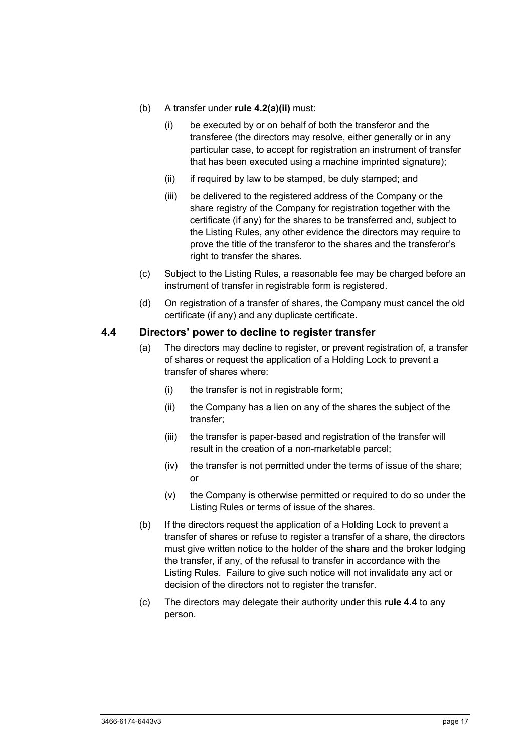- (b) A transfer under **rule 4.2(a)(ii)** must:
	- (i) be executed by or on behalf of both the transferor and the transferee (the directors may resolve, either generally or in any particular case, to accept for registration an instrument of transfer that has been executed using a machine imprinted signature);
	- (ii) if required by law to be stamped, be duly stamped; and
	- (iii) be delivered to the registered address of the Company or the share registry of the Company for registration together with the certificate (if any) for the shares to be transferred and, subject to the Listing Rules, any other evidence the directors may require to prove the title of the transferor to the shares and the transferor's right to transfer the shares.
- (c) Subject to the Listing Rules, a reasonable fee may be charged before an instrument of transfer in registrable form is registered.
- (d) On registration of a transfer of shares, the Company must cancel the old certificate (if any) and any duplicate certificate.

#### **4.4 Directors' power to decline to register transfer**

- (a) The directors may decline to register, or prevent registration of, a transfer of shares or request the application of a Holding Lock to prevent a transfer of shares where:
	- (i) the transfer is not in registrable form;
	- (ii) the Company has a lien on any of the shares the subject of the transfer;
	- (iii) the transfer is paper-based and registration of the transfer will result in the creation of a non-marketable parcel;
	- (iv) the transfer is not permitted under the terms of issue of the share; or
	- (v) the Company is otherwise permitted or required to do so under the Listing Rules or terms of issue of the shares.
- (b) If the directors request the application of a Holding Lock to prevent a transfer of shares or refuse to register a transfer of a share, the directors must give written notice to the holder of the share and the broker lodging the transfer, if any, of the refusal to transfer in accordance with the Listing Rules. Failure to give such notice will not invalidate any act or decision of the directors not to register the transfer.
- (c) The directors may delegate their authority under this **rule 4.4** to any person.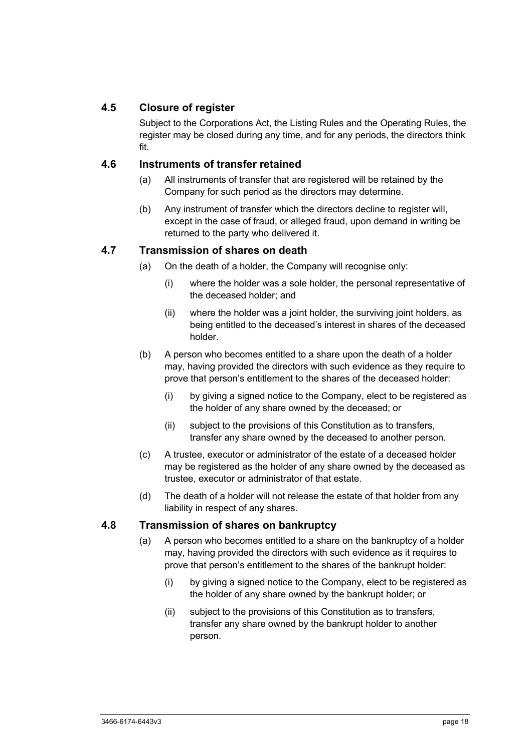# **4.5 Closure of register**

Subject to the Corporations Act, the Listing Rules and the Operating Rules, the register may be closed during any time, and for any periods, the directors think fit.

## **4.6 Instruments of transfer retained**

- (a) All instruments of transfer that are registered will be retained by the Company for such period as the directors may determine.
- (b) Any instrument of transfer which the directors decline to register will, except in the case of fraud, or alleged fraud, upon demand in writing be returned to the party who delivered it.

# **4.7 Transmission of shares on death**

- (a) On the death of a holder, the Company will recognise only:
	- (i) where the holder was a sole holder, the personal representative of the deceased holder; and
	- (ii) where the holder was a joint holder, the surviving joint holders, as being entitled to the deceased's interest in shares of the deceased holder.
- (b) A person who becomes entitled to a share upon the death of a holder may, having provided the directors with such evidence as they require to prove that person's entitlement to the shares of the deceased holder:
	- (i) by giving a signed notice to the Company, elect to be registered as the holder of any share owned by the deceased; or
	- (ii) subject to the provisions of this Constitution as to transfers, transfer any share owned by the deceased to another person.
- (c) A trustee, executor or administrator of the estate of a deceased holder may be registered as the holder of any share owned by the deceased as trustee, executor or administrator of that estate.
- (d) The death of a holder will not release the estate of that holder from any liability in respect of any shares.

#### **4.8 Transmission of shares on bankruptcy**

- (a) A person who becomes entitled to a share on the bankruptcy of a holder may, having provided the directors with such evidence as it requires to prove that person's entitlement to the shares of the bankrupt holder:
	- (i) by giving a signed notice to the Company, elect to be registered as the holder of any share owned by the bankrupt holder; or
	- (ii) subject to the provisions of this Constitution as to transfers, transfer any share owned by the bankrupt holder to another person.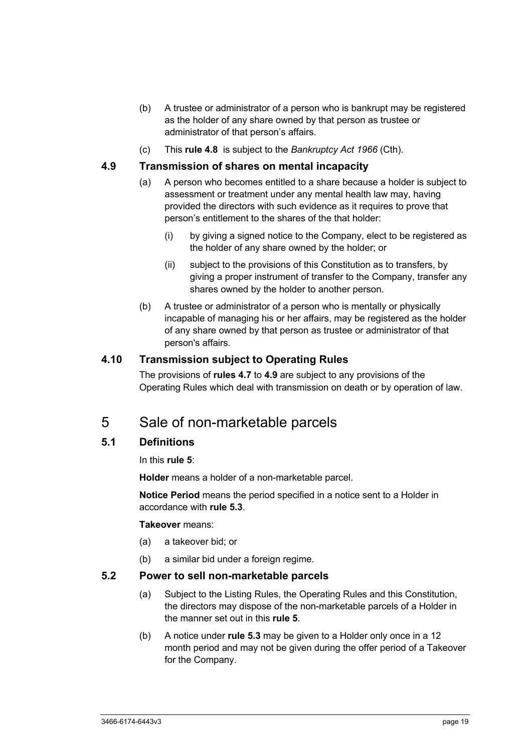- (b) A trustee or administrator of a person who is bankrupt may be registered as the holder of any share owned by that person as trustee or administrator of that person's affairs.
- (c) This **rule 4.8** is subject to the *Bankruptcy Act 1966* (Cth).

#### **4.9 Transmission of shares on mental incapacity**

- (a) A person who becomes entitled to a share because a holder is subject to assessment or treatment under any mental health law may, having provided the directors with such evidence as it requires to prove that person's entitlement to the shares of the that holder:
	- (i) by giving a signed notice to the Company, elect to be registered as the holder of any share owned by the holder; or
	- (ii) subject to the provisions of this Constitution as to transfers, by giving a proper instrument of transfer to the Company, transfer any shares owned by the holder to another person.
- (b) A trustee or administrator of a person who is mentally or physically incapable of managing his or her affairs, may be registered as the holder of any share owned by that person as trustee or administrator of that person's affairs.

#### **4.10 Transmission subject to Operating Rules**

The provisions of **rules 4.7** to **4.9** are subject to any provisions of the Operating Rules which deal with transmission on death or by operation of law.

# 5 Sale of non-marketable parcels

#### **5.1 Definitions**

In this **rule 5**:

**Holder** means a holder of a non-marketable parcel.

**Notice Period** means the period specified in a notice sent to a Holder in accordance with **rule 5.3**.

#### **Takeover** means:

- (a) a takeover bid; or
- (b) a similar bid under a foreign regime.

#### **5.2 Power to sell non-marketable parcels**

- (a) Subject to the Listing Rules, the Operating Rules and this Constitution, the directors may dispose of the non-marketable parcels of a Holder in the manner set out in this **rule 5**.
- (b) A notice under **rule 5.3** may be given to a Holder only once in a 12 month period and may not be given during the offer period of a Takeover for the Company.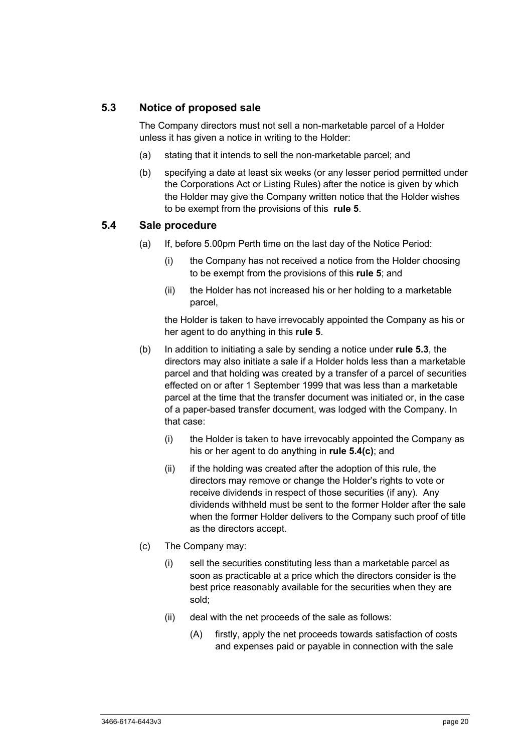## **5.3 Notice of proposed sale**

The Company directors must not sell a non-marketable parcel of a Holder unless it has given a notice in writing to the Holder:

- (a) stating that it intends to sell the non-marketable parcel; and
- (b) specifying a date at least six weeks (or any lesser period permitted under the Corporations Act or Listing Rules) after the notice is given by which the Holder may give the Company written notice that the Holder wishes to be exempt from the provisions of this **rule 5**.

#### **5.4 Sale procedure**

- (a) If, before 5.00pm Perth time on the last day of the Notice Period:
	- (i) the Company has not received a notice from the Holder choosing to be exempt from the provisions of this **rule 5**; and
	- (ii) the Holder has not increased his or her holding to a marketable parcel,

the Holder is taken to have irrevocably appointed the Company as his or her agent to do anything in this **rule 5**.

- (b) In addition to initiating a sale by sending a notice under **rule 5.3**, the directors may also initiate a sale if a Holder holds less than a marketable parcel and that holding was created by a transfer of a parcel of securities effected on or after 1 September 1999 that was less than a marketable parcel at the time that the transfer document was initiated or, in the case of a paper-based transfer document, was lodged with the Company. In that case:
	- (i) the Holder is taken to have irrevocably appointed the Company as his or her agent to do anything in **rule 5.4(c)**; and
	- (ii) if the holding was created after the adoption of this rule, the directors may remove or change the Holder's rights to vote or receive dividends in respect of those securities (if any). Any dividends withheld must be sent to the former Holder after the sale when the former Holder delivers to the Company such proof of title as the directors accept.
- (c) The Company may:
	- (i) sell the securities constituting less than a marketable parcel as soon as practicable at a price which the directors consider is the best price reasonably available for the securities when they are sold;
	- (ii) deal with the net proceeds of the sale as follows:
		- (A) firstly, apply the net proceeds towards satisfaction of costs and expenses paid or payable in connection with the sale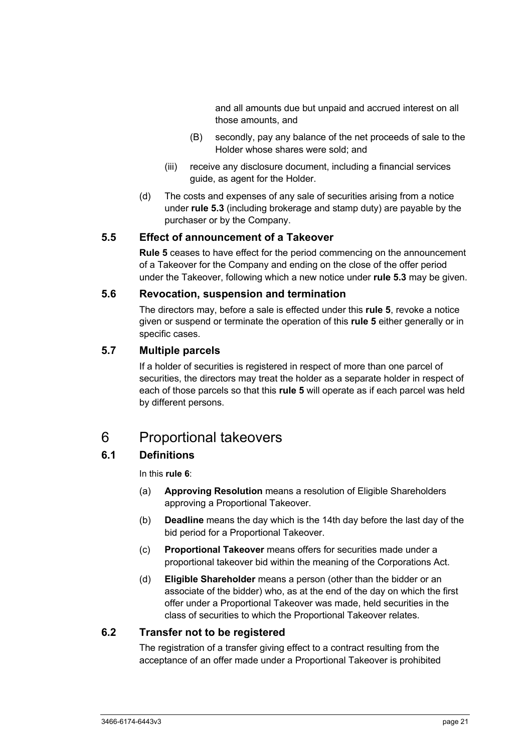and all amounts due but unpaid and accrued interest on all those amounts, and

- (B) secondly, pay any balance of the net proceeds of sale to the Holder whose shares were sold; and
- (iii) receive any disclosure document, including a financial services guide, as agent for the Holder.
- (d) The costs and expenses of any sale of securities arising from a notice under **rule 5.3** (including brokerage and stamp duty) are payable by the purchaser or by the Company.

#### **5.5 Effect of announcement of a Takeover**

**Rule 5** ceases to have effect for the period commencing on the announcement of a Takeover for the Company and ending on the close of the offer period under the Takeover, following which a new notice under **rule 5.3** may be given.

#### **5.6 Revocation, suspension and termination**

The directors may, before a sale is effected under this **rule 5**, revoke a notice given or suspend or terminate the operation of this **rule 5** either generally or in specific cases.

# **5.7 Multiple parcels**

If a holder of securities is registered in respect of more than one parcel of securities, the directors may treat the holder as a separate holder in respect of each of those parcels so that this **rule 5** will operate as if each parcel was held by different persons.

# 6 Proportional takeovers

# **6.1 Definitions**

In this **rule 6**:

- (a) **Approving Resolution** means a resolution of Eligible Shareholders approving a Proportional Takeover.
- (b) **Deadline** means the day which is the 14th day before the last day of the bid period for a Proportional Takeover.
- (c) **Proportional Takeover** means offers for securities made under a proportional takeover bid within the meaning of the Corporations Act.
- (d) **Eligible Shareholder** means a person (other than the bidder or an associate of the bidder) who, as at the end of the day on which the first offer under a Proportional Takeover was made, held securities in the class of securities to which the Proportional Takeover relates.

## **6.2 Transfer not to be registered**

The registration of a transfer giving effect to a contract resulting from the acceptance of an offer made under a Proportional Takeover is prohibited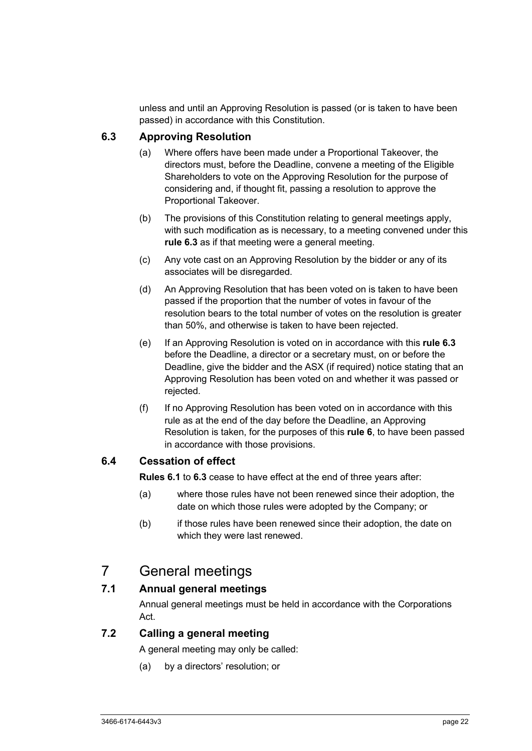unless and until an Approving Resolution is passed (or is taken to have been passed) in accordance with this Constitution.

# **6.3 Approving Resolution**

- (a) Where offers have been made under a Proportional Takeover, the directors must, before the Deadline, convene a meeting of the Eligible Shareholders to vote on the Approving Resolution for the purpose of considering and, if thought fit, passing a resolution to approve the Proportional Takeover.
- (b) The provisions of this Constitution relating to general meetings apply, with such modification as is necessary, to a meeting convened under this **rule 6.3** as if that meeting were a general meeting.
- (c) Any vote cast on an Approving Resolution by the bidder or any of its associates will be disregarded.
- (d) An Approving Resolution that has been voted on is taken to have been passed if the proportion that the number of votes in favour of the resolution bears to the total number of votes on the resolution is greater than 50%, and otherwise is taken to have been rejected.
- (e) If an Approving Resolution is voted on in accordance with this **rule 6.3** before the Deadline, a director or a secretary must, on or before the Deadline, give the bidder and the ASX (if required) notice stating that an Approving Resolution has been voted on and whether it was passed or rejected.
- (f) If no Approving Resolution has been voted on in accordance with this rule as at the end of the day before the Deadline, an Approving Resolution is taken, for the purposes of this **rule 6**, to have been passed in accordance with those provisions.

## **6.4 Cessation of effect**

**Rules 6.1** to **6.3** cease to have effect at the end of three years after:

- (a) where those rules have not been renewed since their adoption, the date on which those rules were adopted by the Company; or
- (b) if those rules have been renewed since their adoption, the date on which they were last renewed.

# 7 General meetings

## **7.1 Annual general meetings**

Annual general meetings must be held in accordance with the Corporations Act.

## **7.2 Calling a general meeting**

A general meeting may only be called:

(a) by a directors' resolution; or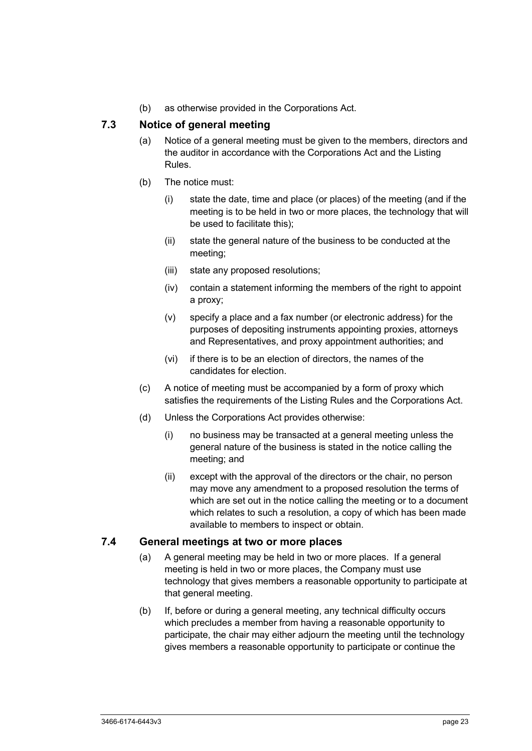(b) as otherwise provided in the Corporations Act.

# **7.3 Notice of general meeting**

- (a) Notice of a general meeting must be given to the members, directors and the auditor in accordance with the Corporations Act and the Listing Rules.
- (b) The notice must:
	- (i) state the date, time and place (or places) of the meeting (and if the meeting is to be held in two or more places, the technology that will be used to facilitate this);
	- (ii) state the general nature of the business to be conducted at the meeting;
	- (iii) state any proposed resolutions;
	- (iv) contain a statement informing the members of the right to appoint a proxy;
	- (v) specify a place and a fax number (or electronic address) for the purposes of depositing instruments appointing proxies, attorneys and Representatives, and proxy appointment authorities; and
	- (vi) if there is to be an election of directors, the names of the candidates for election.
- (c) A notice of meeting must be accompanied by a form of proxy which satisfies the requirements of the Listing Rules and the Corporations Act.
- (d) Unless the Corporations Act provides otherwise:
	- (i) no business may be transacted at a general meeting unless the general nature of the business is stated in the notice calling the meeting; and
	- (ii) except with the approval of the directors or the chair, no person may move any amendment to a proposed resolution the terms of which are set out in the notice calling the meeting or to a document which relates to such a resolution, a copy of which has been made available to members to inspect or obtain.

#### **7.4 General meetings at two or more places**

- (a) A general meeting may be held in two or more places. If a general meeting is held in two or more places, the Company must use technology that gives members a reasonable opportunity to participate at that general meeting.
- (b) If, before or during a general meeting, any technical difficulty occurs which precludes a member from having a reasonable opportunity to participate, the chair may either adjourn the meeting until the technology gives members a reasonable opportunity to participate or continue the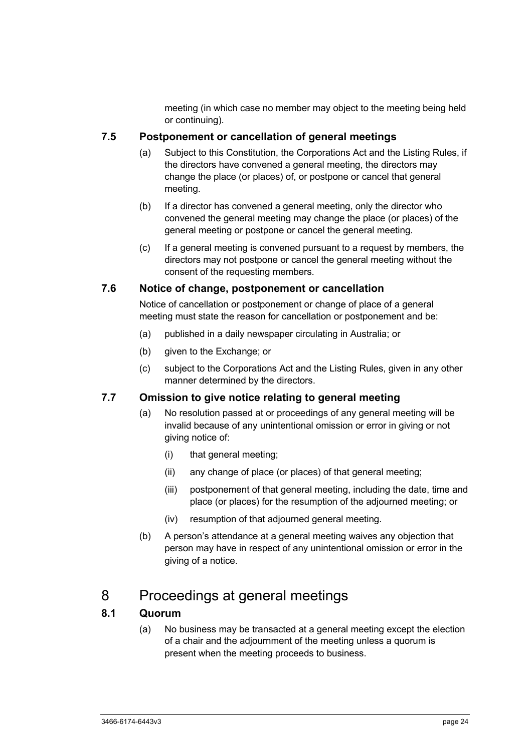meeting (in which case no member may object to the meeting being held or continuing).

## **7.5 Postponement or cancellation of general meetings**

- (a) Subject to this Constitution, the Corporations Act and the Listing Rules, if the directors have convened a general meeting, the directors may change the place (or places) of, or postpone or cancel that general meeting.
- (b) If a director has convened a general meeting, only the director who convened the general meeting may change the place (or places) of the general meeting or postpone or cancel the general meeting.
- (c) If a general meeting is convened pursuant to a request by members, the directors may not postpone or cancel the general meeting without the consent of the requesting members.

## **7.6 Notice of change, postponement or cancellation**

Notice of cancellation or postponement or change of place of a general meeting must state the reason for cancellation or postponement and be:

- (a) published in a daily newspaper circulating in Australia; or
- (b) given to the Exchange; or
- (c) subject to the Corporations Act and the Listing Rules, given in any other manner determined by the directors.

# **7.7 Omission to give notice relating to general meeting**

- (a) No resolution passed at or proceedings of any general meeting will be invalid because of any unintentional omission or error in giving or not giving notice of:
	- (i) that general meeting;
	- (ii) any change of place (or places) of that general meeting;
	- (iii) postponement of that general meeting, including the date, time and place (or places) for the resumption of the adjourned meeting; or
	- (iv) resumption of that adjourned general meeting.
- (b) A person's attendance at a general meeting waives any objection that person may have in respect of any unintentional omission or error in the giving of a notice.

# 8 Proceedings at general meetings

# **8.1 Quorum**

(a) No business may be transacted at a general meeting except the election of a chair and the adjournment of the meeting unless a quorum is present when the meeting proceeds to business.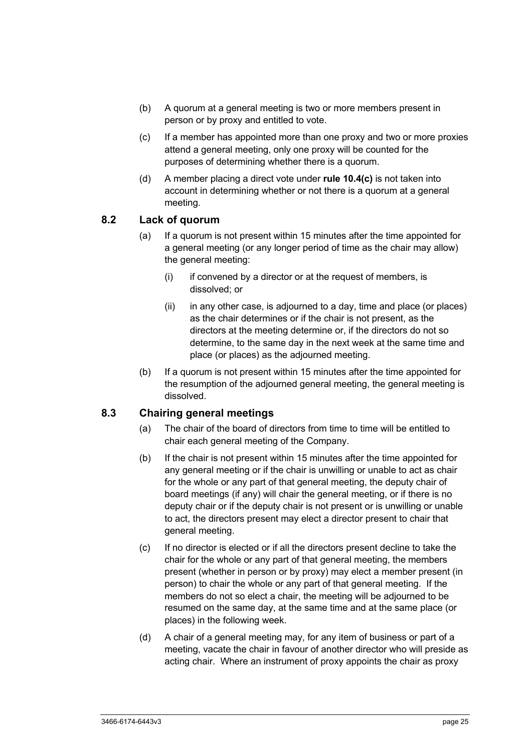- (b) A quorum at a general meeting is two or more members present in person or by proxy and entitled to vote.
- (c) If a member has appointed more than one proxy and two or more proxies attend a general meeting, only one proxy will be counted for the purposes of determining whether there is a quorum.
- (d) A member placing a direct vote under **rule 10.4(c)** is not taken into account in determining whether or not there is a quorum at a general meeting.

#### **8.2 Lack of quorum**

- (a) If a quorum is not present within 15 minutes after the time appointed for a general meeting (or any longer period of time as the chair may allow) the general meeting:
	- (i) if convened by a director or at the request of members, is dissolved; or
	- (ii) in any other case, is adjourned to a day, time and place (or places) as the chair determines or if the chair is not present, as the directors at the meeting determine or, if the directors do not so determine, to the same day in the next week at the same time and place (or places) as the adjourned meeting.
- (b) If a quorum is not present within 15 minutes after the time appointed for the resumption of the adjourned general meeting, the general meeting is dissolved.

## **8.3 Chairing general meetings**

- (a) The chair of the board of directors from time to time will be entitled to chair each general meeting of the Company.
- (b) If the chair is not present within 15 minutes after the time appointed for any general meeting or if the chair is unwilling or unable to act as chair for the whole or any part of that general meeting, the deputy chair of board meetings (if any) will chair the general meeting, or if there is no deputy chair or if the deputy chair is not present or is unwilling or unable to act, the directors present may elect a director present to chair that general meeting.
- (c) If no director is elected or if all the directors present decline to take the chair for the whole or any part of that general meeting, the members present (whether in person or by proxy) may elect a member present (in person) to chair the whole or any part of that general meeting. If the members do not so elect a chair, the meeting will be adjourned to be resumed on the same day, at the same time and at the same place (or places) in the following week.
- (d) A chair of a general meeting may, for any item of business or part of a meeting, vacate the chair in favour of another director who will preside as acting chair. Where an instrument of proxy appoints the chair as proxy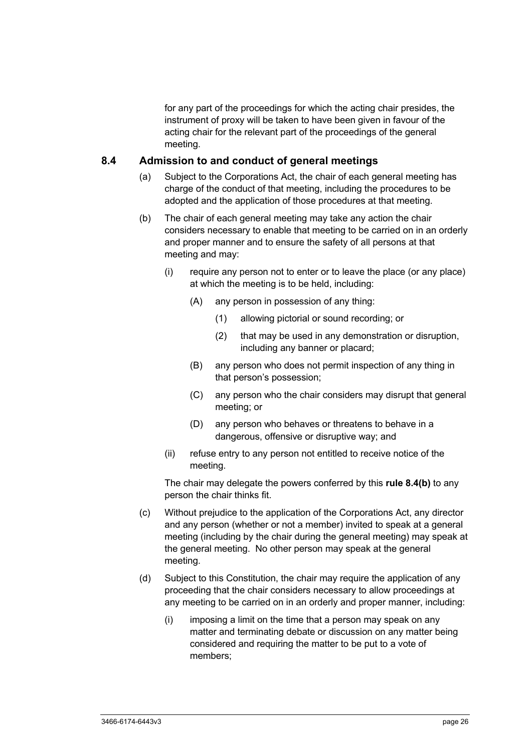for any part of the proceedings for which the acting chair presides, the instrument of proxy will be taken to have been given in favour of the acting chair for the relevant part of the proceedings of the general meeting.

#### **8.4 Admission to and conduct of general meetings**

- (a) Subject to the Corporations Act, the chair of each general meeting has charge of the conduct of that meeting, including the procedures to be adopted and the application of those procedures at that meeting.
- (b) The chair of each general meeting may take any action the chair considers necessary to enable that meeting to be carried on in an orderly and proper manner and to ensure the safety of all persons at that meeting and may:
	- (i) require any person not to enter or to leave the place (or any place) at which the meeting is to be held, including:
		- (A) any person in possession of any thing:
			- (1) allowing pictorial or sound recording; or
			- (2) that may be used in any demonstration or disruption, including any banner or placard;
		- (B) any person who does not permit inspection of any thing in that person's possession;
		- (C) any person who the chair considers may disrupt that general meeting; or
		- (D) any person who behaves or threatens to behave in a dangerous, offensive or disruptive way; and
	- (ii) refuse entry to any person not entitled to receive notice of the meeting.

The chair may delegate the powers conferred by this **rule 8.4(b)** to any person the chair thinks fit.

- (c) Without prejudice to the application of the Corporations Act, any director and any person (whether or not a member) invited to speak at a general meeting (including by the chair during the general meeting) may speak at the general meeting. No other person may speak at the general meeting.
- (d) Subject to this Constitution, the chair may require the application of any proceeding that the chair considers necessary to allow proceedings at any meeting to be carried on in an orderly and proper manner, including:
	- (i) imposing a limit on the time that a person may speak on any matter and terminating debate or discussion on any matter being considered and requiring the matter to be put to a vote of members;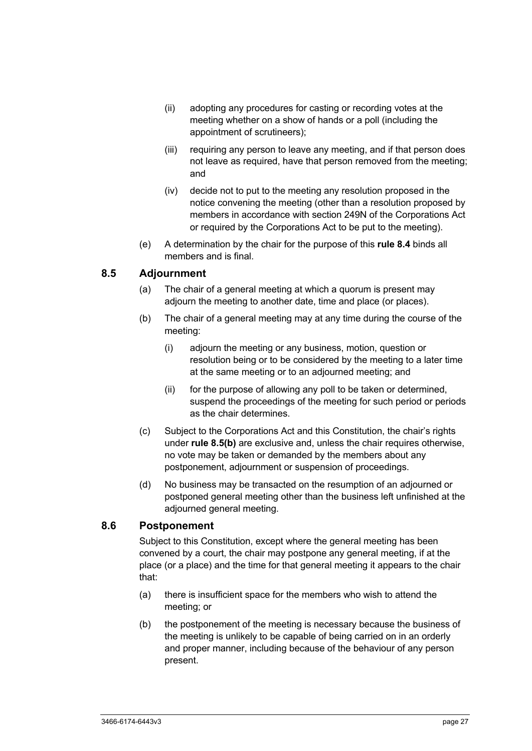- (ii) adopting any procedures for casting or recording votes at the meeting whether on a show of hands or a poll (including the appointment of scrutineers);
- (iii) requiring any person to leave any meeting, and if that person does not leave as required, have that person removed from the meeting; and
- (iv) decide not to put to the meeting any resolution proposed in the notice convening the meeting (other than a resolution proposed by members in accordance with section 249N of the Corporations Act or required by the Corporations Act to be put to the meeting).
- (e) A determination by the chair for the purpose of this **rule 8.4** binds all members and is final.

# **8.5 Adjournment**

- (a) The chair of a general meeting at which a quorum is present may adjourn the meeting to another date, time and place (or places).
- (b) The chair of a general meeting may at any time during the course of the meeting:
	- (i) adjourn the meeting or any business, motion, question or resolution being or to be considered by the meeting to a later time at the same meeting or to an adjourned meeting; and
	- (ii) for the purpose of allowing any poll to be taken or determined, suspend the proceedings of the meeting for such period or periods as the chair determines.
- (c) Subject to the Corporations Act and this Constitution, the chair's rights under **rule 8.5(b)** are exclusive and, unless the chair requires otherwise, no vote may be taken or demanded by the members about any postponement, adjournment or suspension of proceedings.
- (d) No business may be transacted on the resumption of an adjourned or postponed general meeting other than the business left unfinished at the adjourned general meeting.

# **8.6 Postponement**

Subject to this Constitution, except where the general meeting has been convened by a court, the chair may postpone any general meeting, if at the place (or a place) and the time for that general meeting it appears to the chair that:

- (a) there is insufficient space for the members who wish to attend the meeting; or
- (b) the postponement of the meeting is necessary because the business of the meeting is unlikely to be capable of being carried on in an orderly and proper manner, including because of the behaviour of any person present.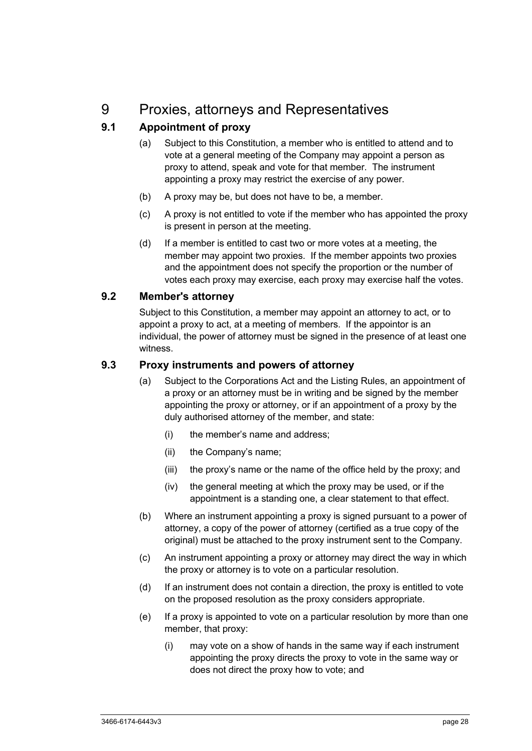# 9 Proxies, attorneys and Representatives

# **9.1 Appointment of proxy**

- (a) Subject to this Constitution, a member who is entitled to attend and to vote at a general meeting of the Company may appoint a person as proxy to attend, speak and vote for that member. The instrument appointing a proxy may restrict the exercise of any power.
- (b) A proxy may be, but does not have to be, a member.
- (c) A proxy is not entitled to vote if the member who has appointed the proxy is present in person at the meeting.
- (d) If a member is entitled to cast two or more votes at a meeting, the member may appoint two proxies. If the member appoints two proxies and the appointment does not specify the proportion or the number of votes each proxy may exercise, each proxy may exercise half the votes.

## **9.2 Member's attorney**

Subject to this Constitution, a member may appoint an attorney to act, or to appoint a proxy to act, at a meeting of members. If the appointor is an individual, the power of attorney must be signed in the presence of at least one witness.

#### **9.3 Proxy instruments and powers of attorney**

- (a) Subject to the Corporations Act and the Listing Rules, an appointment of a proxy or an attorney must be in writing and be signed by the member appointing the proxy or attorney, or if an appointment of a proxy by the duly authorised attorney of the member, and state:
	- (i) the member's name and address;
	- (ii) the Company's name;
	- (iii) the proxy's name or the name of the office held by the proxy; and
	- (iv) the general meeting at which the proxy may be used, or if the appointment is a standing one, a clear statement to that effect.
- (b) Where an instrument appointing a proxy is signed pursuant to a power of attorney, a copy of the power of attorney (certified as a true copy of the original) must be attached to the proxy instrument sent to the Company.
- (c) An instrument appointing a proxy or attorney may direct the way in which the proxy or attorney is to vote on a particular resolution.
- (d) If an instrument does not contain a direction, the proxy is entitled to vote on the proposed resolution as the proxy considers appropriate.
- (e) If a proxy is appointed to vote on a particular resolution by more than one member, that proxy:
	- (i) may vote on a show of hands in the same way if each instrument appointing the proxy directs the proxy to vote in the same way or does not direct the proxy how to vote; and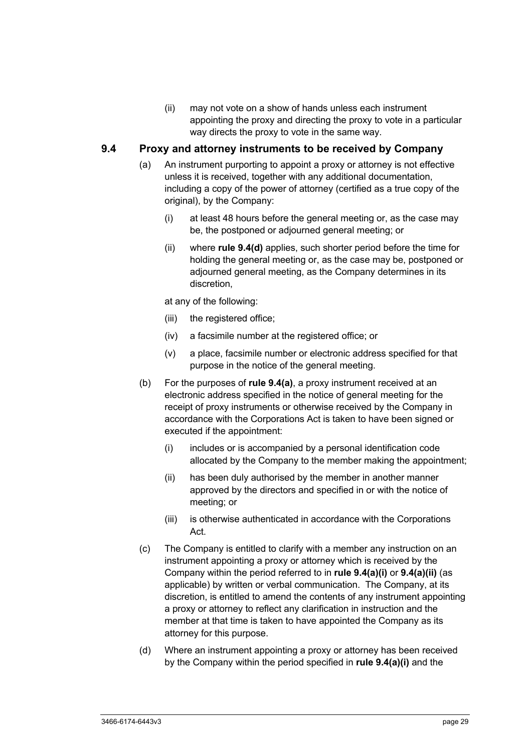(ii) may not vote on a show of hands unless each instrument appointing the proxy and directing the proxy to vote in a particular way directs the proxy to vote in the same way.

#### **9.4 Proxy and attorney instruments to be received by Company**

- (a) An instrument purporting to appoint a proxy or attorney is not effective unless it is received, together with any additional documentation, including a copy of the power of attorney (certified as a true copy of the original), by the Company:
	- (i) at least 48 hours before the general meeting or, as the case may be, the postponed or adjourned general meeting; or
	- (ii) where **rule 9.4(d)** applies, such shorter period before the time for holding the general meeting or, as the case may be, postponed or adjourned general meeting, as the Company determines in its discretion,

at any of the following:

- (iii) the registered office;
- (iv) a facsimile number at the registered office; or
- (v) a place, facsimile number or electronic address specified for that purpose in the notice of the general meeting.
- (b) For the purposes of **rule 9.4(a)**, a proxy instrument received at an electronic address specified in the notice of general meeting for the receipt of proxy instruments or otherwise received by the Company in accordance with the Corporations Act is taken to have been signed or executed if the appointment:
	- (i) includes or is accompanied by a personal identification code allocated by the Company to the member making the appointment;
	- (ii) has been duly authorised by the member in another manner approved by the directors and specified in or with the notice of meeting; or
	- (iii) is otherwise authenticated in accordance with the Corporations Act.
- (c) The Company is entitled to clarify with a member any instruction on an instrument appointing a proxy or attorney which is received by the Company within the period referred to in **rule 9.4(a)(i)** or **9.4(a)(ii)** (as applicable) by written or verbal communication. The Company, at its discretion, is entitled to amend the contents of any instrument appointing a proxy or attorney to reflect any clarification in instruction and the member at that time is taken to have appointed the Company as its attorney for this purpose.
- (d) Where an instrument appointing a proxy or attorney has been received by the Company within the period specified in **rule 9.4(a)(i)** and the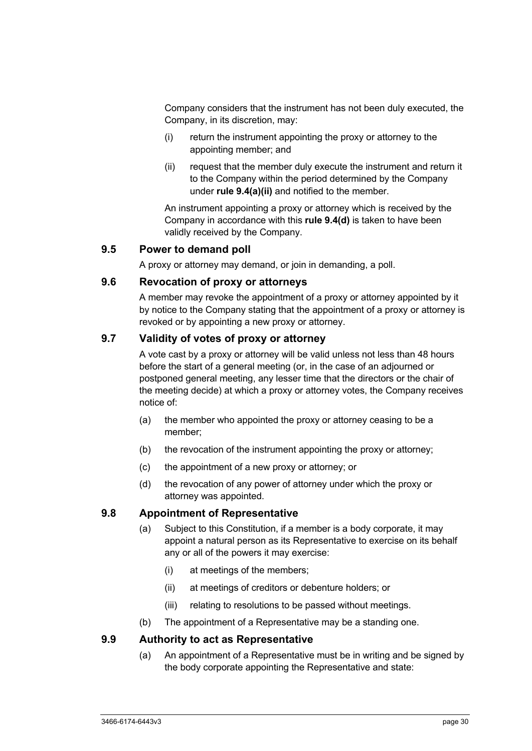Company considers that the instrument has not been duly executed, the Company, in its discretion, may:

- (i) return the instrument appointing the proxy or attorney to the appointing member; and
- (ii) request that the member duly execute the instrument and return it to the Company within the period determined by the Company under **rule 9.4(a)(ii)** and notified to the member.

An instrument appointing a proxy or attorney which is received by the Company in accordance with this **rule 9.4(d)** is taken to have been validly received by the Company.

#### **9.5 Power to demand poll**

A proxy or attorney may demand, or join in demanding, a poll.

#### **9.6 Revocation of proxy or attorneys**

A member may revoke the appointment of a proxy or attorney appointed by it by notice to the Company stating that the appointment of a proxy or attorney is revoked or by appointing a new proxy or attorney.

#### **9.7 Validity of votes of proxy or attorney**

A vote cast by a proxy or attorney will be valid unless not less than 48 hours before the start of a general meeting (or, in the case of an adjourned or postponed general meeting, any lesser time that the directors or the chair of the meeting decide) at which a proxy or attorney votes, the Company receives notice of:

- (a) the member who appointed the proxy or attorney ceasing to be a member;
- (b) the revocation of the instrument appointing the proxy or attorney;
- (c) the appointment of a new proxy or attorney; or
- (d) the revocation of any power of attorney under which the proxy or attorney was appointed.

## **9.8 Appointment of Representative**

- (a) Subject to this Constitution, if a member is a body corporate, it may appoint a natural person as its Representative to exercise on its behalf any or all of the powers it may exercise:
	- (i) at meetings of the members;
	- (ii) at meetings of creditors or debenture holders; or
	- (iii) relating to resolutions to be passed without meetings.
- (b) The appointment of a Representative may be a standing one.

### **9.9 Authority to act as Representative**

(a) An appointment of a Representative must be in writing and be signed by the body corporate appointing the Representative and state: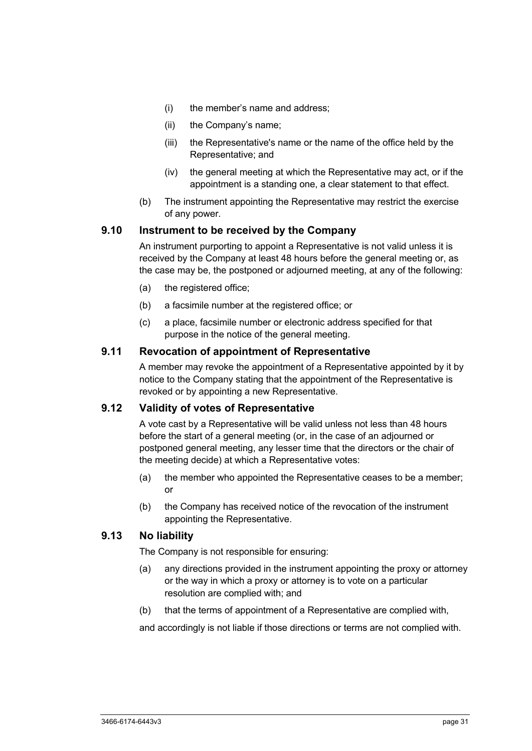- (i) the member's name and address;
- (ii) the Company's name;
- (iii) the Representative's name or the name of the office held by the Representative; and
- (iv) the general meeting at which the Representative may act, or if the appointment is a standing one, a clear statement to that effect.
- (b) The instrument appointing the Representative may restrict the exercise of any power.

#### **9.10 Instrument to be received by the Company**

An instrument purporting to appoint a Representative is not valid unless it is received by the Company at least 48 hours before the general meeting or, as the case may be, the postponed or adjourned meeting, at any of the following:

- (a) the registered office;
- (b) a facsimile number at the registered office; or
- (c) a place, facsimile number or electronic address specified for that purpose in the notice of the general meeting.

#### **9.11 Revocation of appointment of Representative**

A member may revoke the appointment of a Representative appointed by it by notice to the Company stating that the appointment of the Representative is revoked or by appointing a new Representative.

#### **9.12 Validity of votes of Representative**

A vote cast by a Representative will be valid unless not less than 48 hours before the start of a general meeting (or, in the case of an adjourned or postponed general meeting, any lesser time that the directors or the chair of the meeting decide) at which a Representative votes:

- (a) the member who appointed the Representative ceases to be a member; or
- (b) the Company has received notice of the revocation of the instrument appointing the Representative.

#### **9.13 No liability**

The Company is not responsible for ensuring:

- (a) any directions provided in the instrument appointing the proxy or attorney or the way in which a proxy or attorney is to vote on a particular resolution are complied with; and
- (b) that the terms of appointment of a Representative are complied with,

and accordingly is not liable if those directions or terms are not complied with.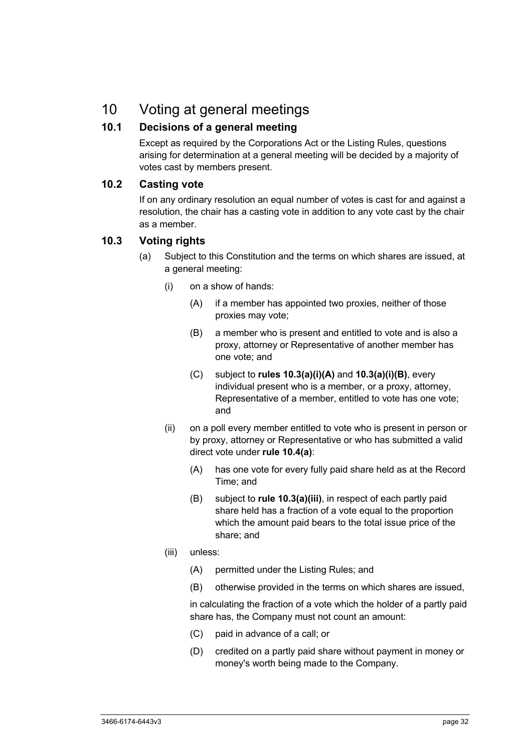# 10 Voting at general meetings

# **10.1 Decisions of a general meeting**

Except as required by the Corporations Act or the Listing Rules, questions arising for determination at a general meeting will be decided by a majority of votes cast by members present.

## **10.2 Casting vote**

If on any ordinary resolution an equal number of votes is cast for and against a resolution, the chair has a casting vote in addition to any vote cast by the chair as a member.

## **10.3 Voting rights**

- (a) Subject to this Constitution and the terms on which shares are issued, at a general meeting:
	- (i) on a show of hands:
		- (A) if a member has appointed two proxies, neither of those proxies may vote;
		- (B) a member who is present and entitled to vote and is also a proxy, attorney or Representative of another member has one vote; and
		- (C) subject to **rules 10.3(a)(i)(A)** and **10.3(a)(i)(B)**, every individual present who is a member, or a proxy, attorney, Representative of a member, entitled to vote has one vote; and
	- (ii) on a poll every member entitled to vote who is present in person or by proxy, attorney or Representative or who has submitted a valid direct vote under **rule 10.4(a)**:
		- (A) has one vote for every fully paid share held as at the Record Time; and
		- (B) subject to **rule 10.3(a)(iii)**, in respect of each partly paid share held has a fraction of a vote equal to the proportion which the amount paid bears to the total issue price of the share; and
	- (iii) unless:
		- (A) permitted under the Listing Rules; and
		- (B) otherwise provided in the terms on which shares are issued,

in calculating the fraction of a vote which the holder of a partly paid share has, the Company must not count an amount:

- (C) paid in advance of a call; or
- (D) credited on a partly paid share without payment in money or money's worth being made to the Company.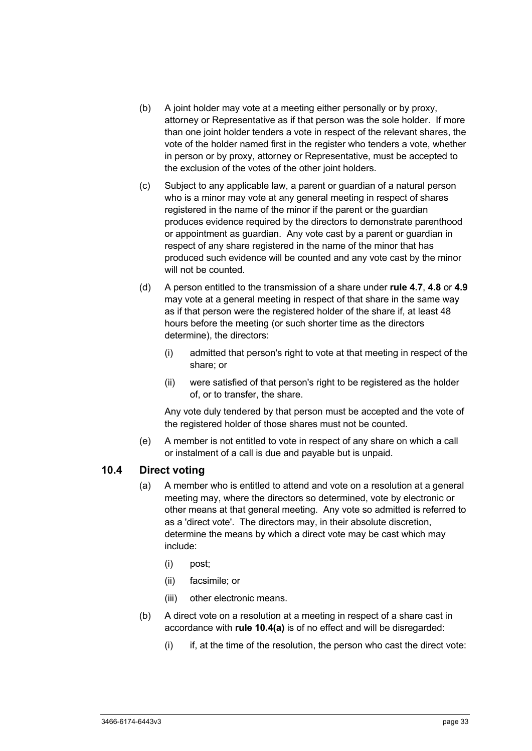- (b) A joint holder may vote at a meeting either personally or by proxy, attorney or Representative as if that person was the sole holder. If more than one joint holder tenders a vote in respect of the relevant shares, the vote of the holder named first in the register who tenders a vote, whether in person or by proxy, attorney or Representative, must be accepted to the exclusion of the votes of the other joint holders.
- (c) Subject to any applicable law, a parent or guardian of a natural person who is a minor may vote at any general meeting in respect of shares registered in the name of the minor if the parent or the guardian produces evidence required by the directors to demonstrate parenthood or appointment as guardian. Any vote cast by a parent or guardian in respect of any share registered in the name of the minor that has produced such evidence will be counted and any vote cast by the minor will not be counted.
- (d) A person entitled to the transmission of a share under **rule 4.7**, **4.8** or **4.9** may vote at a general meeting in respect of that share in the same way as if that person were the registered holder of the share if, at least 48 hours before the meeting (or such shorter time as the directors determine), the directors:
	- (i) admitted that person's right to vote at that meeting in respect of the share; or
	- (ii) were satisfied of that person's right to be registered as the holder of, or to transfer, the share.

Any vote duly tendered by that person must be accepted and the vote of the registered holder of those shares must not be counted.

(e) A member is not entitled to vote in respect of any share on which a call or instalment of a call is due and payable but is unpaid.

#### **10.4 Direct voting**

- (a) A member who is entitled to attend and vote on a resolution at a general meeting may, where the directors so determined, vote by electronic or other means at that general meeting. Any vote so admitted is referred to as a 'direct vote'. The directors may, in their absolute discretion, determine the means by which a direct vote may be cast which may include:
	- (i) post;
	- (ii) facsimile; or
	- (iii) other electronic means.
- (b) A direct vote on a resolution at a meeting in respect of a share cast in accordance with **rule 10.4(a)** is of no effect and will be disregarded:
	- $(i)$  if, at the time of the resolution, the person who cast the direct vote: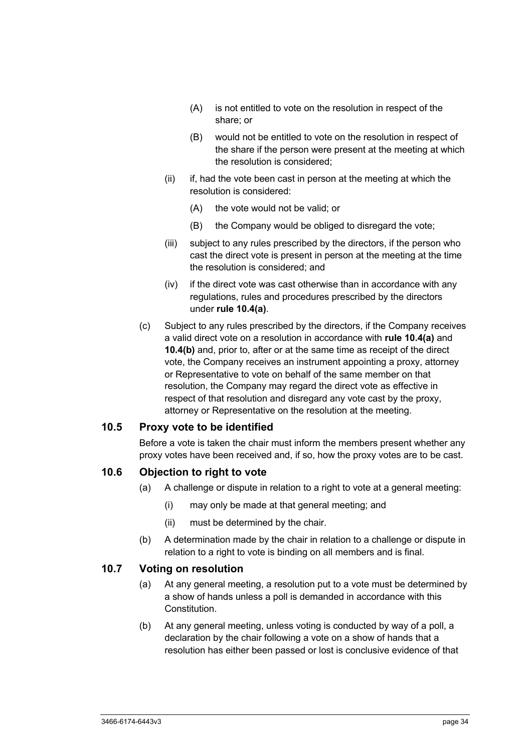- (A) is not entitled to vote on the resolution in respect of the share; or
- (B) would not be entitled to vote on the resolution in respect of the share if the person were present at the meeting at which the resolution is considered;
- (ii) if, had the vote been cast in person at the meeting at which the resolution is considered:
	- (A) the vote would not be valid; or
	- (B) the Company would be obliged to disregard the vote;
- (iii) subject to any rules prescribed by the directors, if the person who cast the direct vote is present in person at the meeting at the time the resolution is considered; and
- (iv) if the direct vote was cast otherwise than in accordance with any regulations, rules and procedures prescribed by the directors under **rule 10.4(a)**.
- (c) Subject to any rules prescribed by the directors, if the Company receives a valid direct vote on a resolution in accordance with **rule 10.4(a)** and **10.4(b)** and, prior to, after or at the same time as receipt of the direct vote, the Company receives an instrument appointing a proxy, attorney or Representative to vote on behalf of the same member on that resolution, the Company may regard the direct vote as effective in respect of that resolution and disregard any vote cast by the proxy, attorney or Representative on the resolution at the meeting.

#### **10.5 Proxy vote to be identified**

Before a vote is taken the chair must inform the members present whether any proxy votes have been received and, if so, how the proxy votes are to be cast.

#### **10.6 Objection to right to vote**

- (a) A challenge or dispute in relation to a right to vote at a general meeting:
	- (i) may only be made at that general meeting; and
	- (ii) must be determined by the chair.
- (b) A determination made by the chair in relation to a challenge or dispute in relation to a right to vote is binding on all members and is final.

#### **10.7 Voting on resolution**

- (a) At any general meeting, a resolution put to a vote must be determined by a show of hands unless a poll is demanded in accordance with this Constitution.
- (b) At any general meeting, unless voting is conducted by way of a poll, a declaration by the chair following a vote on a show of hands that a resolution has either been passed or lost is conclusive evidence of that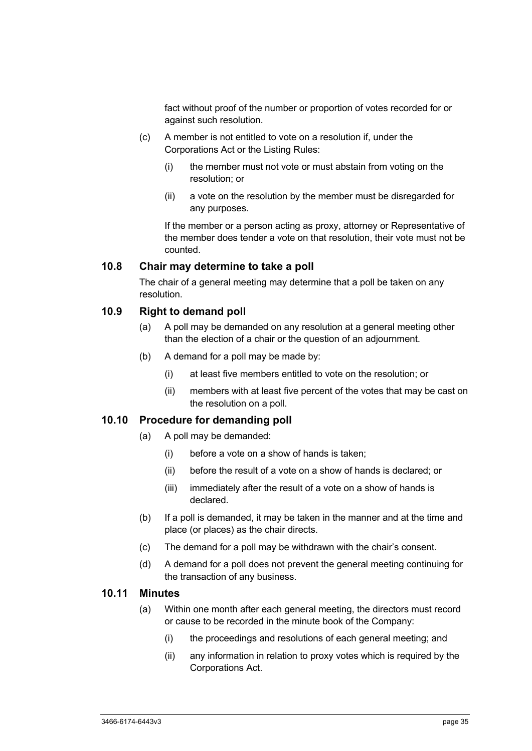fact without proof of the number or proportion of votes recorded for or against such resolution.

- (c) A member is not entitled to vote on a resolution if, under the Corporations Act or the Listing Rules:
	- (i) the member must not vote or must abstain from voting on the resolution; or
	- (ii) a vote on the resolution by the member must be disregarded for any purposes.

If the member or a person acting as proxy, attorney or Representative of the member does tender a vote on that resolution, their vote must not be counted.

#### **10.8 Chair may determine to take a poll**

The chair of a general meeting may determine that a poll be taken on any resolution.

#### **10.9 Right to demand poll**

- (a) A poll may be demanded on any resolution at a general meeting other than the election of a chair or the question of an adjournment.
- (b) A demand for a poll may be made by:
	- (i) at least five members entitled to vote on the resolution; or
	- (ii) members with at least five percent of the votes that may be cast on the resolution on a poll.

#### **10.10 Procedure for demanding poll**

- (a) A poll may be demanded:
	- (i) before a vote on a show of hands is taken;
	- (ii) before the result of a vote on a show of hands is declared; or
	- (iii) immediately after the result of a vote on a show of hands is declared.
- (b) If a poll is demanded, it may be taken in the manner and at the time and place (or places) as the chair directs.
- (c) The demand for a poll may be withdrawn with the chair's consent.
- (d) A demand for a poll does not prevent the general meeting continuing for the transaction of any business.

#### **10.11 Minutes**

- (a) Within one month after each general meeting, the directors must record or cause to be recorded in the minute book of the Company:
	- (i) the proceedings and resolutions of each general meeting; and
	- (ii) any information in relation to proxy votes which is required by the Corporations Act.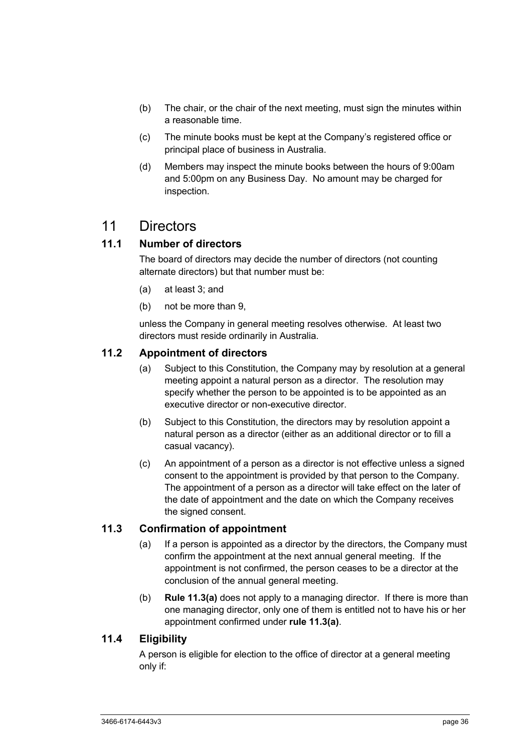- (b) The chair, or the chair of the next meeting, must sign the minutes within a reasonable time.
- (c) The minute books must be kept at the Company's registered office or principal place of business in Australia.
- (d) Members may inspect the minute books between the hours of 9:00am and 5:00pm on any Business Day. No amount may be charged for inspection.

# 11 Directors

# **11.1 Number of directors**

The board of directors may decide the number of directors (not counting alternate directors) but that number must be:

- (a) at least 3; and
- (b) not be more than 9,

unless the Company in general meeting resolves otherwise. At least two directors must reside ordinarily in Australia.

## **11.2 Appointment of directors**

- (a) Subject to this Constitution, the Company may by resolution at a general meeting appoint a natural person as a director. The resolution may specify whether the person to be appointed is to be appointed as an executive director or non-executive director.
- (b) Subject to this Constitution, the directors may by resolution appoint a natural person as a director (either as an additional director or to fill a casual vacancy).
- (c) An appointment of a person as a director is not effective unless a signed consent to the appointment is provided by that person to the Company. The appointment of a person as a director will take effect on the later of the date of appointment and the date on which the Company receives the signed consent.

## **11.3 Confirmation of appointment**

- (a) If a person is appointed as a director by the directors, the Company must confirm the appointment at the next annual general meeting. If the appointment is not confirmed, the person ceases to be a director at the conclusion of the annual general meeting.
- (b) **Rule 11.3(a)** does not apply to a managing director. If there is more than one managing director, only one of them is entitled not to have his or her appointment confirmed under **rule 11.3(a)**.

## **11.4 Eligibility**

A person is eligible for election to the office of director at a general meeting only if: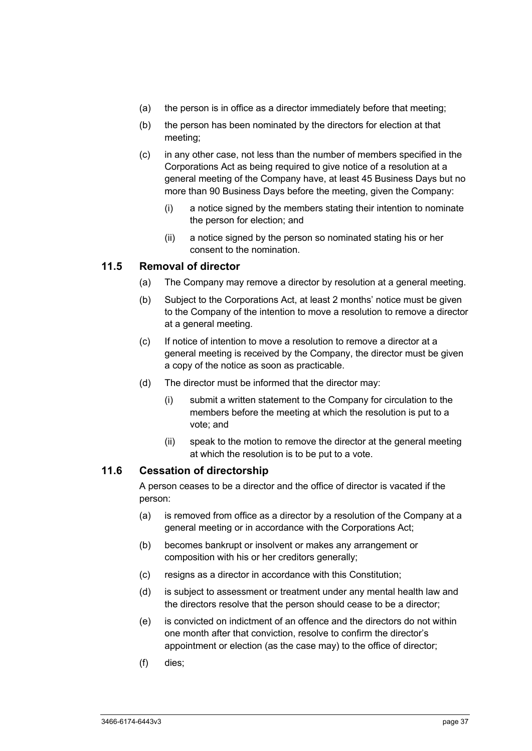- (a) the person is in office as a director immediately before that meeting;
- (b) the person has been nominated by the directors for election at that meeting;
- (c) in any other case, not less than the number of members specified in the Corporations Act as being required to give notice of a resolution at a general meeting of the Company have, at least 45 Business Days but no more than 90 Business Days before the meeting, given the Company:
	- (i) a notice signed by the members stating their intention to nominate the person for election; and
	- (ii) a notice signed by the person so nominated stating his or her consent to the nomination.

#### **11.5 Removal of director**

- (a) The Company may remove a director by resolution at a general meeting.
- (b) Subject to the Corporations Act, at least 2 months' notice must be given to the Company of the intention to move a resolution to remove a director at a general meeting.
- (c) If notice of intention to move a resolution to remove a director at a general meeting is received by the Company, the director must be given a copy of the notice as soon as practicable.
- (d) The director must be informed that the director may:
	- (i) submit a written statement to the Company for circulation to the members before the meeting at which the resolution is put to a vote; and
	- (ii) speak to the motion to remove the director at the general meeting at which the resolution is to be put to a vote.

#### **11.6 Cessation of directorship**

A person ceases to be a director and the office of director is vacated if the person:

- (a) is removed from office as a director by a resolution of the Company at a general meeting or in accordance with the Corporations Act;
- (b) becomes bankrupt or insolvent or makes any arrangement or composition with his or her creditors generally;
- (c) resigns as a director in accordance with this Constitution;
- (d) is subject to assessment or treatment under any mental health law and the directors resolve that the person should cease to be a director;
- (e) is convicted on indictment of an offence and the directors do not within one month after that conviction, resolve to confirm the director's appointment or election (as the case may) to the office of director;
- (f) dies;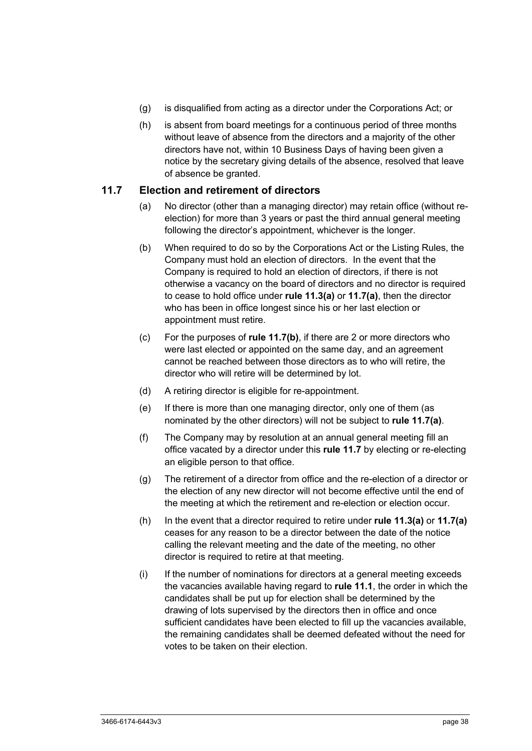- (g) is disqualified from acting as a director under the Corporations Act; or
- (h) is absent from board meetings for a continuous period of three months without leave of absence from the directors and a majority of the other directors have not, within 10 Business Days of having been given a notice by the secretary giving details of the absence, resolved that leave of absence be granted.

#### **11.7 Election and retirement of directors**

- (a) No director (other than a managing director) may retain office (without reelection) for more than 3 years or past the third annual general meeting following the director's appointment, whichever is the longer.
- (b) When required to do so by the Corporations Act or the Listing Rules, the Company must hold an election of directors. In the event that the Company is required to hold an election of directors, if there is not otherwise a vacancy on the board of directors and no director is required to cease to hold office under **rule 11.3(a)** or **11.7(a)**, then the director who has been in office longest since his or her last election or appointment must retire.
- (c) For the purposes of **rule 11.7(b)**, if there are 2 or more directors who were last elected or appointed on the same day, and an agreement cannot be reached between those directors as to who will retire, the director who will retire will be determined by lot.
- (d) A retiring director is eligible for re-appointment.
- (e) If there is more than one managing director, only one of them (as nominated by the other directors) will not be subject to **rule 11.7(a)**.
- (f) The Company may by resolution at an annual general meeting fill an office vacated by a director under this **rule 11.7** by electing or re-electing an eligible person to that office.
- (g) The retirement of a director from office and the re-election of a director or the election of any new director will not become effective until the end of the meeting at which the retirement and re-election or election occur.
- (h) In the event that a director required to retire under **rule 11.3(a)** or **11.7(a)** ceases for any reason to be a director between the date of the notice calling the relevant meeting and the date of the meeting, no other director is required to retire at that meeting.
- (i) If the number of nominations for directors at a general meeting exceeds the vacancies available having regard to **rule 11.1**, the order in which the candidates shall be put up for election shall be determined by the drawing of lots supervised by the directors then in office and once sufficient candidates have been elected to fill up the vacancies available, the remaining candidates shall be deemed defeated without the need for votes to be taken on their election.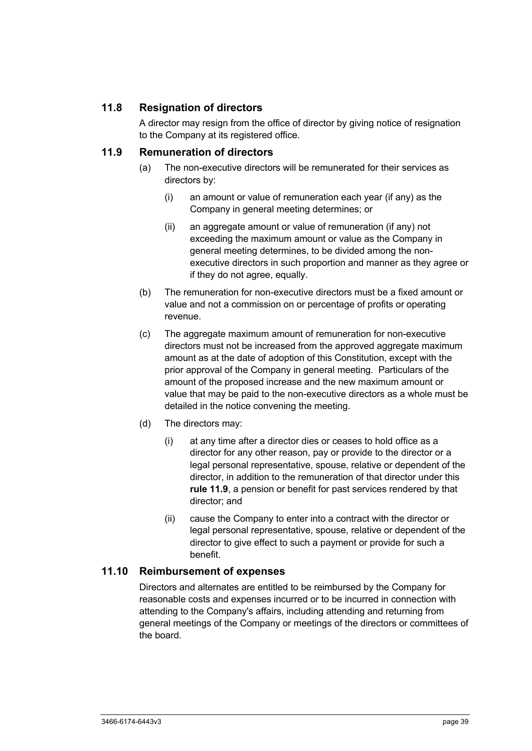# **11.8 Resignation of directors**

A director may resign from the office of director by giving notice of resignation to the Company at its registered office.

### **11.9 Remuneration of directors**

- (a) The non-executive directors will be remunerated for their services as directors by:
	- (i) an amount or value of remuneration each year (if any) as the Company in general meeting determines; or
	- (ii) an aggregate amount or value of remuneration (if any) not exceeding the maximum amount or value as the Company in general meeting determines, to be divided among the nonexecutive directors in such proportion and manner as they agree or if they do not agree, equally.
- (b) The remuneration for non-executive directors must be a fixed amount or value and not a commission on or percentage of profits or operating revenue.
- (c) The aggregate maximum amount of remuneration for non-executive directors must not be increased from the approved aggregate maximum amount as at the date of adoption of this Constitution, except with the prior approval of the Company in general meeting. Particulars of the amount of the proposed increase and the new maximum amount or value that may be paid to the non-executive directors as a whole must be detailed in the notice convening the meeting.
- (d) The directors may:
	- (i) at any time after a director dies or ceases to hold office as a director for any other reason, pay or provide to the director or a legal personal representative, spouse, relative or dependent of the director, in addition to the remuneration of that director under this **rule 11.9**, a pension or benefit for past services rendered by that director; and
	- (ii) cause the Company to enter into a contract with the director or legal personal representative, spouse, relative or dependent of the director to give effect to such a payment or provide for such a benefit.

#### **11.10 Reimbursement of expenses**

Directors and alternates are entitled to be reimbursed by the Company for reasonable costs and expenses incurred or to be incurred in connection with attending to the Company's affairs, including attending and returning from general meetings of the Company or meetings of the directors or committees of the board.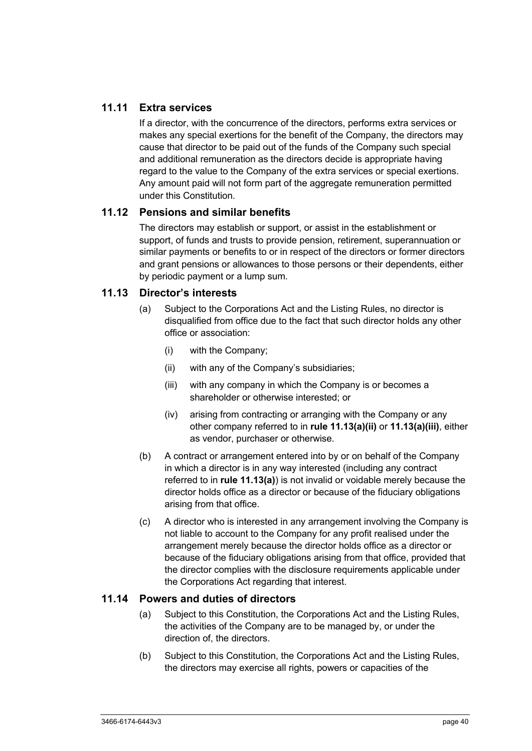# **11.11 Extra services**

If a director, with the concurrence of the directors, performs extra services or makes any special exertions for the benefit of the Company, the directors may cause that director to be paid out of the funds of the Company such special and additional remuneration as the directors decide is appropriate having regard to the value to the Company of the extra services or special exertions. Any amount paid will not form part of the aggregate remuneration permitted under this Constitution.

#### **11.12 Pensions and similar benefits**

The directors may establish or support, or assist in the establishment or support, of funds and trusts to provide pension, retirement, superannuation or similar payments or benefits to or in respect of the directors or former directors and grant pensions or allowances to those persons or their dependents, either by periodic payment or a lump sum.

#### **11.13 Director's interests**

- (a) Subject to the Corporations Act and the Listing Rules, no director is disqualified from office due to the fact that such director holds any other office or association:
	- (i) with the Company;
	- (ii) with any of the Company's subsidiaries;
	- (iii) with any company in which the Company is or becomes a shareholder or otherwise interested; or
	- (iv) arising from contracting or arranging with the Company or any other company referred to in **rule 11.13(a)(ii)** or **11.13(a)(iii)**, either as vendor, purchaser or otherwise.
- (b) A contract or arrangement entered into by or on behalf of the Company in which a director is in any way interested (including any contract referred to in **rule 11.13(a)**) is not invalid or voidable merely because the director holds office as a director or because of the fiduciary obligations arising from that office.
- (c) A director who is interested in any arrangement involving the Company is not liable to account to the Company for any profit realised under the arrangement merely because the director holds office as a director or because of the fiduciary obligations arising from that office, provided that the director complies with the disclosure requirements applicable under the Corporations Act regarding that interest.

#### **11.14 Powers and duties of directors**

- (a) Subject to this Constitution, the Corporations Act and the Listing Rules, the activities of the Company are to be managed by, or under the direction of, the directors.
- (b) Subject to this Constitution, the Corporations Act and the Listing Rules, the directors may exercise all rights, powers or capacities of the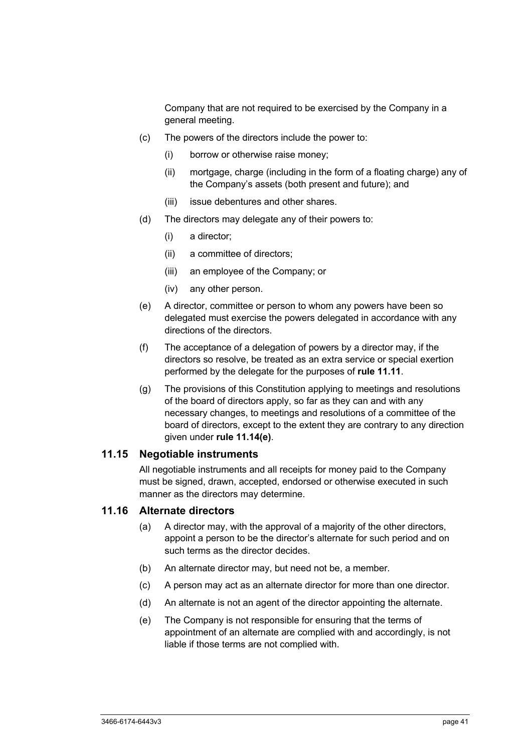Company that are not required to be exercised by the Company in a general meeting.

- (c) The powers of the directors include the power to:
	- (i) borrow or otherwise raise money;
	- (ii) mortgage, charge (including in the form of a floating charge) any of the Company's assets (both present and future); and
	- (iii) issue debentures and other shares.
- (d) The directors may delegate any of their powers to:
	- (i) a director;
	- (ii) a committee of directors;
	- (iii) an employee of the Company; or
	- (iv) any other person.
- (e) A director, committee or person to whom any powers have been so delegated must exercise the powers delegated in accordance with any directions of the directors.
- (f) The acceptance of a delegation of powers by a director may, if the directors so resolve, be treated as an extra service or special exertion performed by the delegate for the purposes of **rule 11.11**.
- (g) The provisions of this Constitution applying to meetings and resolutions of the board of directors apply, so far as they can and with any necessary changes, to meetings and resolutions of a committee of the board of directors, except to the extent they are contrary to any direction given under **rule 11.14(e)**.

#### **11.15 Negotiable instruments**

All negotiable instruments and all receipts for money paid to the Company must be signed, drawn, accepted, endorsed or otherwise executed in such manner as the directors may determine.

#### **11.16 Alternate directors**

- (a) A director may, with the approval of a majority of the other directors, appoint a person to be the director's alternate for such period and on such terms as the director decides.
- (b) An alternate director may, but need not be, a member.
- (c) A person may act as an alternate director for more than one director.
- (d) An alternate is not an agent of the director appointing the alternate.
- (e) The Company is not responsible for ensuring that the terms of appointment of an alternate are complied with and accordingly, is not liable if those terms are not complied with.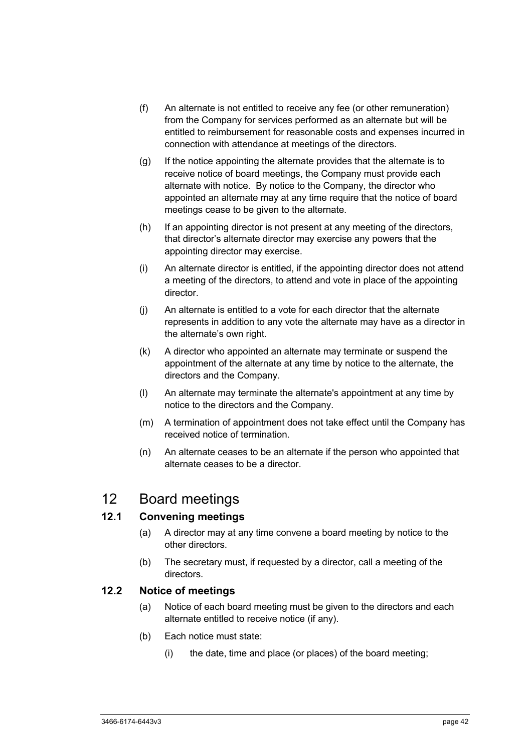- (f) An alternate is not entitled to receive any fee (or other remuneration) from the Company for services performed as an alternate but will be entitled to reimbursement for reasonable costs and expenses incurred in connection with attendance at meetings of the directors.
- (g) If the notice appointing the alternate provides that the alternate is to receive notice of board meetings, the Company must provide each alternate with notice. By notice to the Company, the director who appointed an alternate may at any time require that the notice of board meetings cease to be given to the alternate.
- (h) If an appointing director is not present at any meeting of the directors, that director's alternate director may exercise any powers that the appointing director may exercise.
- (i) An alternate director is entitled, if the appointing director does not attend a meeting of the directors, to attend and vote in place of the appointing director.
- (j) An alternate is entitled to a vote for each director that the alternate represents in addition to any vote the alternate may have as a director in the alternate's own right.
- (k) A director who appointed an alternate may terminate or suspend the appointment of the alternate at any time by notice to the alternate, the directors and the Company.
- (l) An alternate may terminate the alternate's appointment at any time by notice to the directors and the Company.
- (m) A termination of appointment does not take effect until the Company has received notice of termination.
- (n) An alternate ceases to be an alternate if the person who appointed that alternate ceases to be a director.

# 12 Board meetings

# **12.1 Convening meetings**

- (a) A director may at any time convene a board meeting by notice to the other directors.
- (b) The secretary must, if requested by a director, call a meeting of the directors.

# **12.2 Notice of meetings**

- (a) Notice of each board meeting must be given to the directors and each alternate entitled to receive notice (if any).
- (b) Each notice must state:
	- (i) the date, time and place (or places) of the board meeting;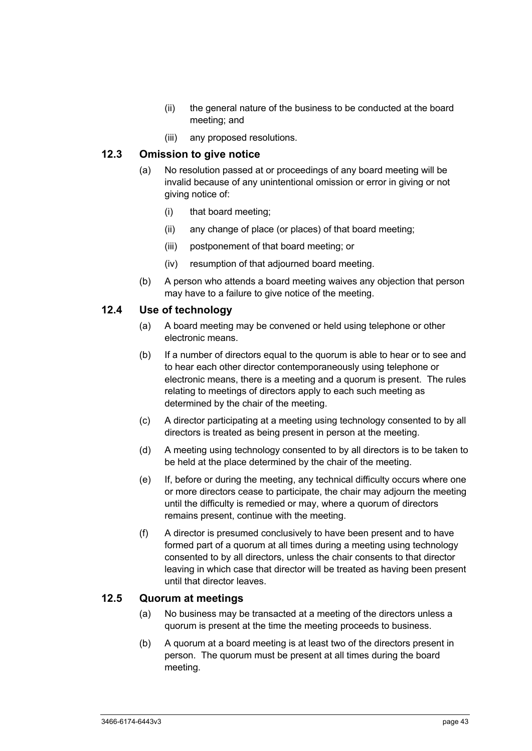- (ii) the general nature of the business to be conducted at the board meeting; and
- (iii) any proposed resolutions.

### **12.3 Omission to give notice**

- (a) No resolution passed at or proceedings of any board meeting will be invalid because of any unintentional omission or error in giving or not giving notice of:
	- (i) that board meeting;
	- (ii) any change of place (or places) of that board meeting;
	- (iii) postponement of that board meeting; or
	- (iv) resumption of that adjourned board meeting.
- (b) A person who attends a board meeting waives any objection that person may have to a failure to give notice of the meeting.

# **12.4 Use of technology**

- (a) A board meeting may be convened or held using telephone or other electronic means.
- (b) If a number of directors equal to the quorum is able to hear or to see and to hear each other director contemporaneously using telephone or electronic means, there is a meeting and a quorum is present. The rules relating to meetings of directors apply to each such meeting as determined by the chair of the meeting.
- (c) A director participating at a meeting using technology consented to by all directors is treated as being present in person at the meeting.
- (d) A meeting using technology consented to by all directors is to be taken to be held at the place determined by the chair of the meeting.
- (e) If, before or during the meeting, any technical difficulty occurs where one or more directors cease to participate, the chair may adjourn the meeting until the difficulty is remedied or may, where a quorum of directors remains present, continue with the meeting.
- (f) A director is presumed conclusively to have been present and to have formed part of a quorum at all times during a meeting using technology consented to by all directors, unless the chair consents to that director leaving in which case that director will be treated as having been present until that director leaves.

#### **12.5 Quorum at meetings**

- (a) No business may be transacted at a meeting of the directors unless a quorum is present at the time the meeting proceeds to business.
- (b) A quorum at a board meeting is at least two of the directors present in person. The quorum must be present at all times during the board meeting.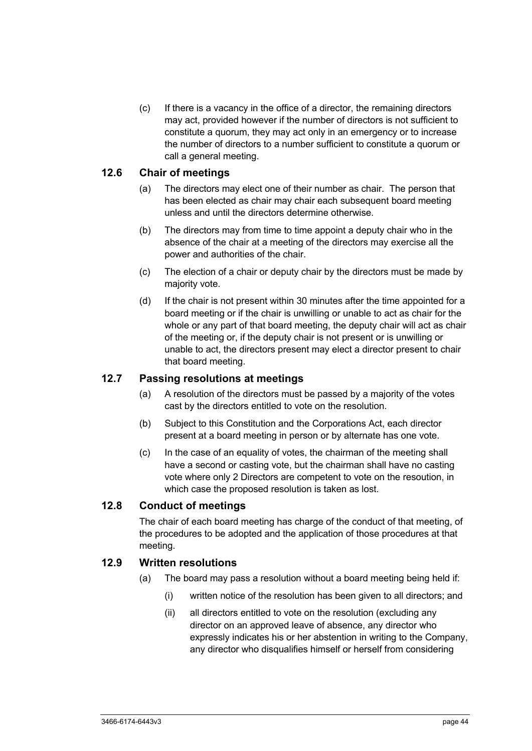(c) If there is a vacancy in the office of a director, the remaining directors may act, provided however if the number of directors is not sufficient to constitute a quorum, they may act only in an emergency or to increase the number of directors to a number sufficient to constitute a quorum or call a general meeting.

#### **12.6 Chair of meetings**

- (a) The directors may elect one of their number as chair. The person that has been elected as chair may chair each subsequent board meeting unless and until the directors determine otherwise.
- (b) The directors may from time to time appoint a deputy chair who in the absence of the chair at a meeting of the directors may exercise all the power and authorities of the chair.
- (c) The election of a chair or deputy chair by the directors must be made by majority vote.
- (d) If the chair is not present within 30 minutes after the time appointed for a board meeting or if the chair is unwilling or unable to act as chair for the whole or any part of that board meeting, the deputy chair will act as chair of the meeting or, if the deputy chair is not present or is unwilling or unable to act, the directors present may elect a director present to chair that board meeting.

## **12.7 Passing resolutions at meetings**

- (a) A resolution of the directors must be passed by a majority of the votes cast by the directors entitled to vote on the resolution.
- (b) Subject to this Constitution and the Corporations Act, each director present at a board meeting in person or by alternate has one vote.
- (c) In the case of an equality of votes, the chairman of the meeting shall have a second or casting vote, but the chairman shall have no casting vote where only 2 Directors are competent to vote on the resoution, in which case the proposed resolution is taken as lost.

# **12.8 Conduct of meetings**

The chair of each board meeting has charge of the conduct of that meeting, of the procedures to be adopted and the application of those procedures at that meeting.

#### **12.9 Written resolutions**

- (a) The board may pass a resolution without a board meeting being held if:
	- (i) written notice of the resolution has been given to all directors; and
	- (ii) all directors entitled to vote on the resolution (excluding any director on an approved leave of absence, any director who expressly indicates his or her abstention in writing to the Company, any director who disqualifies himself or herself from considering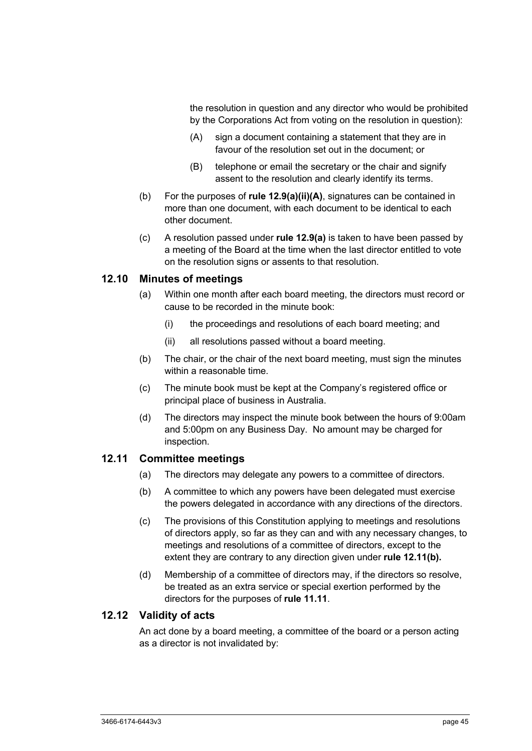the resolution in question and any director who would be prohibited by the Corporations Act from voting on the resolution in question):

- (A) sign a document containing a statement that they are in favour of the resolution set out in the document; or
- (B) telephone or email the secretary or the chair and signify assent to the resolution and clearly identify its terms.
- (b) For the purposes of **rule 12.9(a)(ii)(A)**, signatures can be contained in more than one document, with each document to be identical to each other document.
- (c) A resolution passed under **rule 12.9(a)** is taken to have been passed by a meeting of the Board at the time when the last director entitled to vote on the resolution signs or assents to that resolution.

#### **12.10 Minutes of meetings**

- (a) Within one month after each board meeting, the directors must record or cause to be recorded in the minute book:
	- (i) the proceedings and resolutions of each board meeting; and
	- (ii) all resolutions passed without a board meeting.
- (b) The chair, or the chair of the next board meeting, must sign the minutes within a reasonable time.
- (c) The minute book must be kept at the Company's registered office or principal place of business in Australia.
- (d) The directors may inspect the minute book between the hours of 9:00am and 5:00pm on any Business Day. No amount may be charged for inspection.

#### **12.11 Committee meetings**

- (a) The directors may delegate any powers to a committee of directors.
- (b) A committee to which any powers have been delegated must exercise the powers delegated in accordance with any directions of the directors.
- (c) The provisions of this Constitution applying to meetings and resolutions of directors apply, so far as they can and with any necessary changes, to meetings and resolutions of a committee of directors, except to the extent they are contrary to any direction given under **rule 12.11(b).**
- (d) Membership of a committee of directors may, if the directors so resolve, be treated as an extra service or special exertion performed by the directors for the purposes of **rule 11.11**.

#### **12.12 Validity of acts**

An act done by a board meeting, a committee of the board or a person acting as a director is not invalidated by: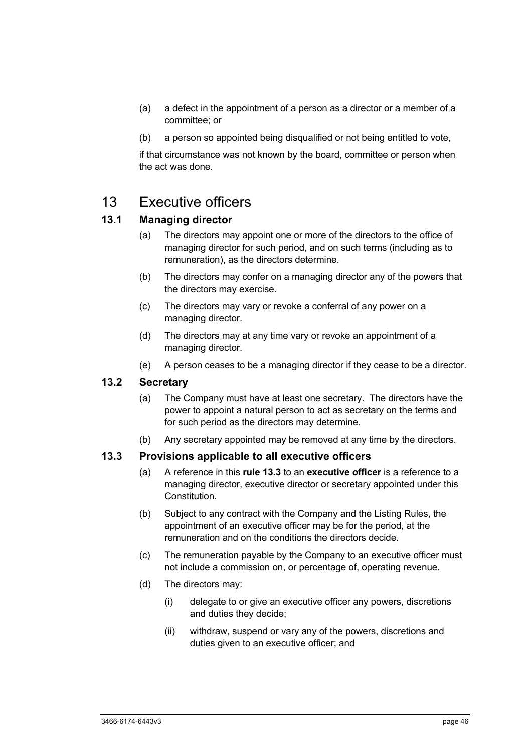- (a) a defect in the appointment of a person as a director or a member of a committee; or
- (b) a person so appointed being disqualified or not being entitled to vote,

if that circumstance was not known by the board, committee or person when the act was done.

# 13 Executive officers

# **13.1 Managing director**

- (a) The directors may appoint one or more of the directors to the office of managing director for such period, and on such terms (including as to remuneration), as the directors determine.
- (b) The directors may confer on a managing director any of the powers that the directors may exercise.
- (c) The directors may vary or revoke a conferral of any power on a managing director.
- (d) The directors may at any time vary or revoke an appointment of a managing director.
- (e) A person ceases to be a managing director if they cease to be a director.

## **13.2 Secretary**

- (a) The Company must have at least one secretary. The directors have the power to appoint a natural person to act as secretary on the terms and for such period as the directors may determine.
- (b) Any secretary appointed may be removed at any time by the directors.

#### **13.3 Provisions applicable to all executive officers**

- (a) A reference in this **rule 13.3** to an **executive officer** is a reference to a managing director, executive director or secretary appointed under this Constitution.
- (b) Subject to any contract with the Company and the Listing Rules, the appointment of an executive officer may be for the period, at the remuneration and on the conditions the directors decide.
- (c) The remuneration payable by the Company to an executive officer must not include a commission on, or percentage of, operating revenue.
- (d) The directors may:
	- (i) delegate to or give an executive officer any powers, discretions and duties they decide;
	- (ii) withdraw, suspend or vary any of the powers, discretions and duties given to an executive officer; and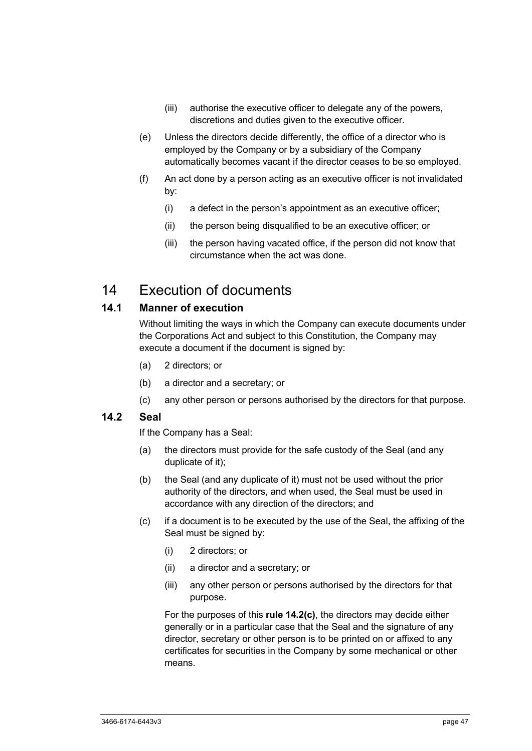- (iii) authorise the executive officer to delegate any of the powers, discretions and duties given to the executive officer.
- (e) Unless the directors decide differently, the office of a director who is employed by the Company or by a subsidiary of the Company automatically becomes vacant if the director ceases to be so employed.
- (f) An act done by a person acting as an executive officer is not invalidated by:
	- (i) a defect in the person's appointment as an executive officer;
	- (ii) the person being disqualified to be an executive officer; or
	- (iii) the person having vacated office, if the person did not know that circumstance when the act was done.

# 14 Execution of documents

## **14.1 Manner of execution**

Without limiting the ways in which the Company can execute documents under the Corporations Act and subject to this Constitution, the Company may execute a document if the document is signed by:

- (a) 2 directors; or
- (b) a director and a secretary; or
- (c) any other person or persons authorised by the directors for that purpose.

#### **14.2 Seal**

If the Company has a Seal:

- (a) the directors must provide for the safe custody of the Seal (and any duplicate of it);
- (b) the Seal (and any duplicate of it) must not be used without the prior authority of the directors, and when used, the Seal must be used in accordance with any direction of the directors; and
- (c) if a document is to be executed by the use of the Seal, the affixing of the Seal must be signed by:
	- (i) 2 directors; or
	- (ii) a director and a secretary; or
	- (iii) any other person or persons authorised by the directors for that purpose.

For the purposes of this **rule 14.2(c)**, the directors may decide either generally or in a particular case that the Seal and the signature of any director, secretary or other person is to be printed on or affixed to any certificates for securities in the Company by some mechanical or other means.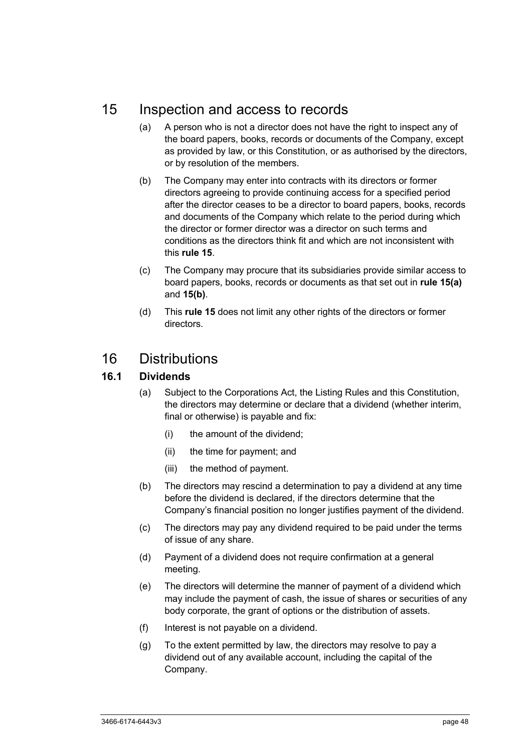# 15 Inspection and access to records

- (a) A person who is not a director does not have the right to inspect any of the board papers, books, records or documents of the Company, except as provided by law, or this Constitution, or as authorised by the directors, or by resolution of the members.
- (b) The Company may enter into contracts with its directors or former directors agreeing to provide continuing access for a specified period after the director ceases to be a director to board papers, books, records and documents of the Company which relate to the period during which the director or former director was a director on such terms and conditions as the directors think fit and which are not inconsistent with this **rule 15**.
- (c) The Company may procure that its subsidiaries provide similar access to board papers, books, records or documents as that set out in **rule 15(a)** and **15(b)**.
- (d) This **rule 15** does not limit any other rights of the directors or former directors.

# 16 Distributions

# **16.1 Dividends**

- (a) Subject to the Corporations Act, the Listing Rules and this Constitution, the directors may determine or declare that a dividend (whether interim, final or otherwise) is payable and fix:
	- (i) the amount of the dividend;
	- (ii) the time for payment; and
	- (iii) the method of payment.
- (b) The directors may rescind a determination to pay a dividend at any time before the dividend is declared, if the directors determine that the Company's financial position no longer justifies payment of the dividend.
- (c) The directors may pay any dividend required to be paid under the terms of issue of any share.
- (d) Payment of a dividend does not require confirmation at a general meeting.
- (e) The directors will determine the manner of payment of a dividend which may include the payment of cash, the issue of shares or securities of any body corporate, the grant of options or the distribution of assets.
- (f) Interest is not payable on a dividend.
- (g) To the extent permitted by law, the directors may resolve to pay a dividend out of any available account, including the capital of the Company.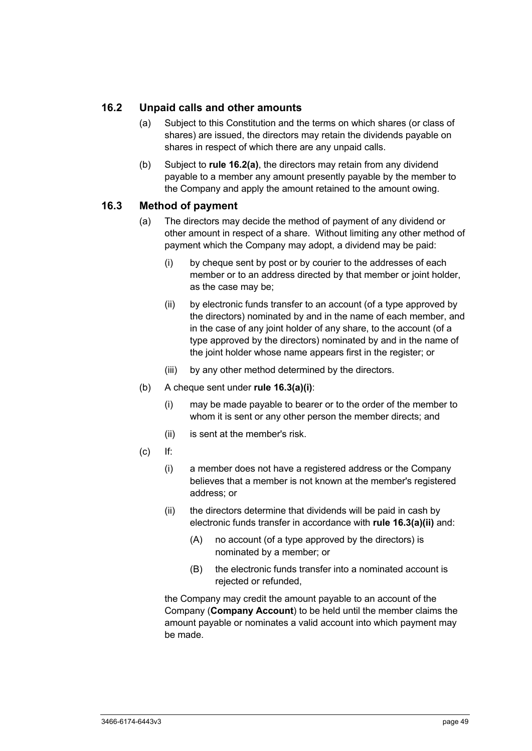# **16.2 Unpaid calls and other amounts**

- (a) Subject to this Constitution and the terms on which shares (or class of shares) are issued, the directors may retain the dividends payable on shares in respect of which there are any unpaid calls.
- (b) Subject to **rule 16.2(a)**, the directors may retain from any dividend payable to a member any amount presently payable by the member to the Company and apply the amount retained to the amount owing.

## **16.3 Method of payment**

- (a) The directors may decide the method of payment of any dividend or other amount in respect of a share. Without limiting any other method of payment which the Company may adopt, a dividend may be paid:
	- (i) by cheque sent by post or by courier to the addresses of each member or to an address directed by that member or joint holder, as the case may be;
	- (ii) by electronic funds transfer to an account (of a type approved by the directors) nominated by and in the name of each member, and in the case of any joint holder of any share, to the account (of a type approved by the directors) nominated by and in the name of the joint holder whose name appears first in the register; or
	- (iii) by any other method determined by the directors.
- (b) A cheque sent under **rule 16.3(a)(i)**:
	- (i) may be made payable to bearer or to the order of the member to whom it is sent or any other person the member directs; and
	- (ii) is sent at the member's risk.
- (c) If:
	- (i) a member does not have a registered address or the Company believes that a member is not known at the member's registered address; or
	- (ii) the directors determine that dividends will be paid in cash by electronic funds transfer in accordance with **rule 16.3(a)(ii)** and:
		- (A) no account (of a type approved by the directors) is nominated by a member; or
		- (B) the electronic funds transfer into a nominated account is rejected or refunded,

the Company may credit the amount payable to an account of the Company (**Company Account**) to be held until the member claims the amount payable or nominates a valid account into which payment may be made.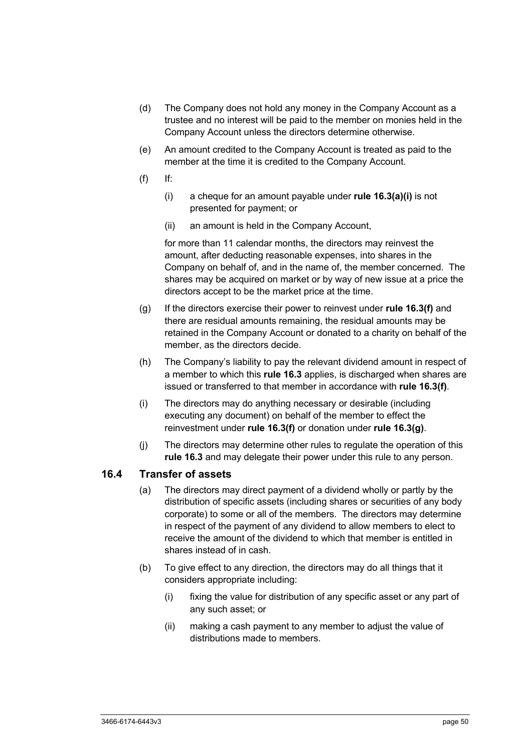- (d) The Company does not hold any money in the Company Account as a trustee and no interest will be paid to the member on monies held in the Company Account unless the directors determine otherwise.
- (e) An amount credited to the Company Account is treated as paid to the member at the time it is credited to the Company Account.
- $(f)$  If:
	- (i) a cheque for an amount payable under **rule 16.3(a)(i)** is not presented for payment; or
	- (ii) an amount is held in the Company Account,

for more than 11 calendar months, the directors may reinvest the amount, after deducting reasonable expenses, into shares in the Company on behalf of, and in the name of, the member concerned. The shares may be acquired on market or by way of new issue at a price the directors accept to be the market price at the time.

- (g) If the directors exercise their power to reinvest under **rule 16.3(f)** and there are residual amounts remaining, the residual amounts may be retained in the Company Account or donated to a charity on behalf of the member, as the directors decide.
- (h) The Company's liability to pay the relevant dividend amount in respect of a member to which this **rule 16.3** applies, is discharged when shares are issued or transferred to that member in accordance with **rule 16.3(f)**.
- (i) The directors may do anything necessary or desirable (including executing any document) on behalf of the member to effect the reinvestment under **rule 16.3(f)** or donation under **rule 16.3(g)**.
- (j) The directors may determine other rules to regulate the operation of this **rule 16.3** and may delegate their power under this rule to any person.

## **16.4 Transfer of assets**

- (a) The directors may direct payment of a dividend wholly or partly by the distribution of specific assets (including shares or securities of any body corporate) to some or all of the members. The directors may determine in respect of the payment of any dividend to allow members to elect to receive the amount of the dividend to which that member is entitled in shares instead of in cash.
- (b) To give effect to any direction, the directors may do all things that it considers appropriate including:
	- (i) fixing the value for distribution of any specific asset or any part of any such asset; or
	- (ii) making a cash payment to any member to adjust the value of distributions made to members.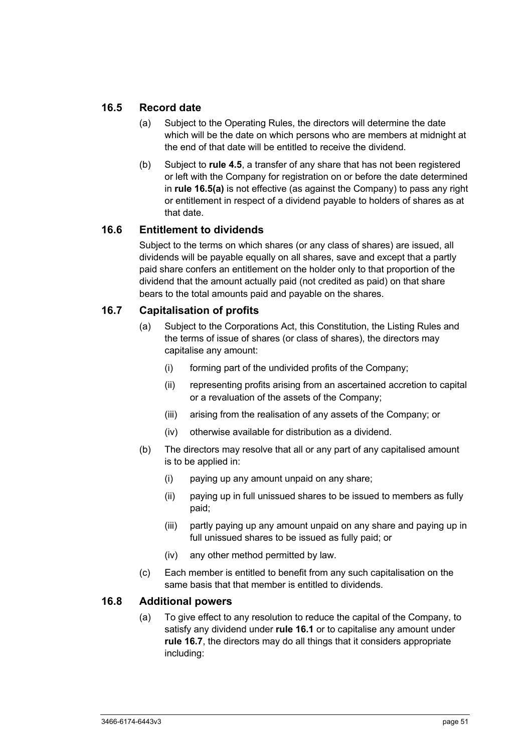## **16.5 Record date**

- (a) Subject to the Operating Rules, the directors will determine the date which will be the date on which persons who are members at midnight at the end of that date will be entitled to receive the dividend.
- (b) Subject to **rule 4.5**, a transfer of any share that has not been registered or left with the Company for registration on or before the date determined in **rule 16.5(a)** is not effective (as against the Company) to pass any right or entitlement in respect of a dividend payable to holders of shares as at that date.

# **16.6 Entitlement to dividends**

Subject to the terms on which shares (or any class of shares) are issued, all dividends will be payable equally on all shares, save and except that a partly paid share confers an entitlement on the holder only to that proportion of the dividend that the amount actually paid (not credited as paid) on that share bears to the total amounts paid and payable on the shares.

# **16.7 Capitalisation of profits**

- (a) Subject to the Corporations Act, this Constitution, the Listing Rules and the terms of issue of shares (or class of shares), the directors may capitalise any amount:
	- (i) forming part of the undivided profits of the Company;
	- (ii) representing profits arising from an ascertained accretion to capital or a revaluation of the assets of the Company;
	- (iii) arising from the realisation of any assets of the Company; or
	- (iv) otherwise available for distribution as a dividend.
- (b) The directors may resolve that all or any part of any capitalised amount is to be applied in:
	- (i) paying up any amount unpaid on any share;
	- (ii) paying up in full unissued shares to be issued to members as fully paid;
	- (iii) partly paying up any amount unpaid on any share and paying up in full unissued shares to be issued as fully paid; or
	- (iv) any other method permitted by law.
- (c) Each member is entitled to benefit from any such capitalisation on the same basis that that member is entitled to dividends.

#### **16.8 Additional powers**

(a) To give effect to any resolution to reduce the capital of the Company, to satisfy any dividend under **rule 16.1** or to capitalise any amount under **rule 16.7**, the directors may do all things that it considers appropriate including: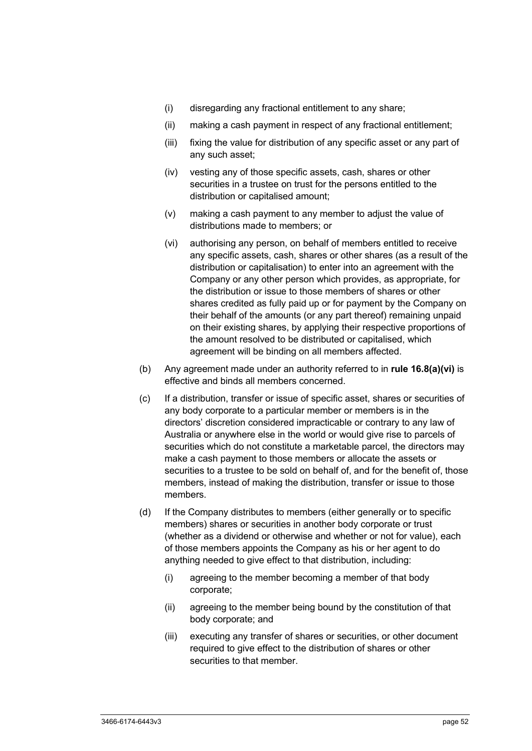- (i) disregarding any fractional entitlement to any share;
- (ii) making a cash payment in respect of any fractional entitlement;
- (iii) fixing the value for distribution of any specific asset or any part of any such asset;
- (iv) vesting any of those specific assets, cash, shares or other securities in a trustee on trust for the persons entitled to the distribution or capitalised amount;
- (v) making a cash payment to any member to adjust the value of distributions made to members; or
- (vi) authorising any person, on behalf of members entitled to receive any specific assets, cash, shares or other shares (as a result of the distribution or capitalisation) to enter into an agreement with the Company or any other person which provides, as appropriate, for the distribution or issue to those members of shares or other shares credited as fully paid up or for payment by the Company on their behalf of the amounts (or any part thereof) remaining unpaid on their existing shares, by applying their respective proportions of the amount resolved to be distributed or capitalised, which agreement will be binding on all members affected.
- (b) Any agreement made under an authority referred to in **rule 16.8(a)(vi)** is effective and binds all members concerned.
- (c) If a distribution, transfer or issue of specific asset, shares or securities of any body corporate to a particular member or members is in the directors' discretion considered impracticable or contrary to any law of Australia or anywhere else in the world or would give rise to parcels of securities which do not constitute a marketable parcel, the directors may make a cash payment to those members or allocate the assets or securities to a trustee to be sold on behalf of, and for the benefit of, those members, instead of making the distribution, transfer or issue to those members.
- (d) If the Company distributes to members (either generally or to specific members) shares or securities in another body corporate or trust (whether as a dividend or otherwise and whether or not for value), each of those members appoints the Company as his or her agent to do anything needed to give effect to that distribution, including:
	- (i) agreeing to the member becoming a member of that body corporate;
	- (ii) agreeing to the member being bound by the constitution of that body corporate; and
	- (iii) executing any transfer of shares or securities, or other document required to give effect to the distribution of shares or other securities to that member.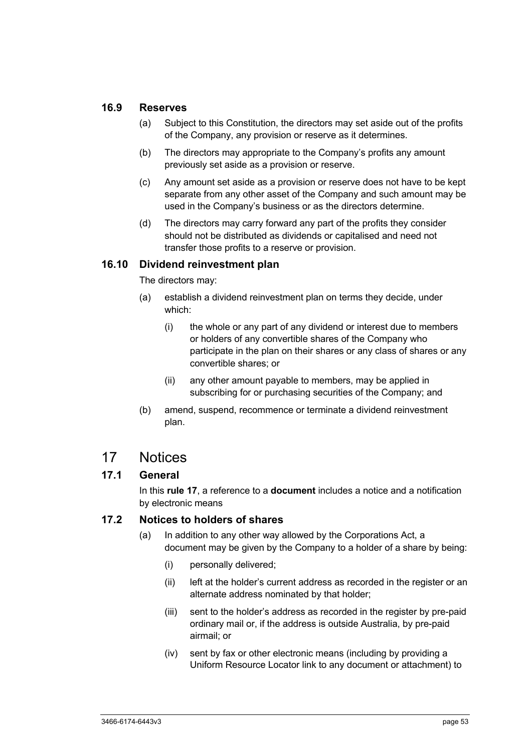#### **16.9 Reserves**

- (a) Subject to this Constitution, the directors may set aside out of the profits of the Company, any provision or reserve as it determines.
- (b) The directors may appropriate to the Company's profits any amount previously set aside as a provision or reserve.
- (c) Any amount set aside as a provision or reserve does not have to be kept separate from any other asset of the Company and such amount may be used in the Company's business or as the directors determine.
- (d) The directors may carry forward any part of the profits they consider should not be distributed as dividends or capitalised and need not transfer those profits to a reserve or provision.

#### **16.10 Dividend reinvestment plan**

The directors may:

- (a) establish a dividend reinvestment plan on terms they decide, under which:
	- (i) the whole or any part of any dividend or interest due to members or holders of any convertible shares of the Company who participate in the plan on their shares or any class of shares or any convertible shares; or
	- (ii) any other amount payable to members, may be applied in subscribing for or purchasing securities of the Company; and
- (b) amend, suspend, recommence or terminate a dividend reinvestment plan.

# 17 Notices

## **17.1 General**

In this **rule 17**, a reference to a **document** includes a notice and a notification by electronic means

## **17.2 Notices to holders of shares**

- (a) In addition to any other way allowed by the Corporations Act, a document may be given by the Company to a holder of a share by being:
	- (i) personally delivered;
	- (ii) left at the holder's current address as recorded in the register or an alternate address nominated by that holder;
	- (iii) sent to the holder's address as recorded in the register by pre-paid ordinary mail or, if the address is outside Australia, by pre-paid airmail; or
	- (iv) sent by fax or other electronic means (including by providing a Uniform Resource Locator link to any document or attachment) to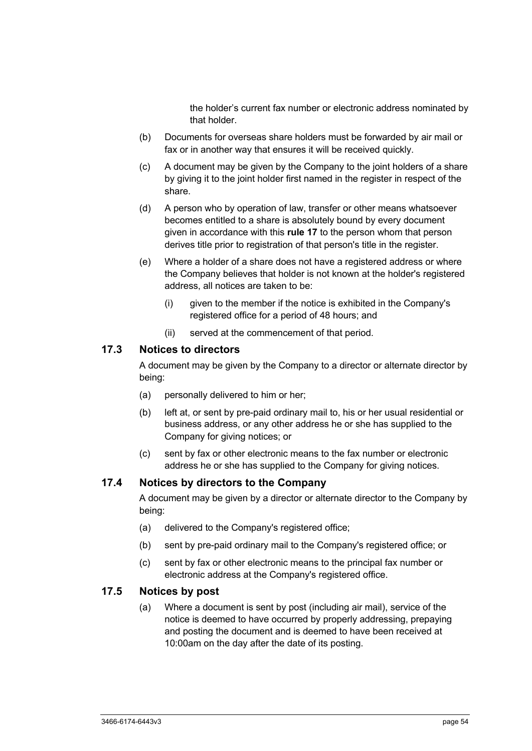the holder's current fax number or electronic address nominated by that holder.

- (b) Documents for overseas share holders must be forwarded by air mail or fax or in another way that ensures it will be received quickly.
- (c) A document may be given by the Company to the joint holders of a share by giving it to the joint holder first named in the register in respect of the share.
- (d) A person who by operation of law, transfer or other means whatsoever becomes entitled to a share is absolutely bound by every document given in accordance with this **rule 17** to the person whom that person derives title prior to registration of that person's title in the register.
- (e) Where a holder of a share does not have a registered address or where the Company believes that holder is not known at the holder's registered address, all notices are taken to be:
	- (i) given to the member if the notice is exhibited in the Company's registered office for a period of 48 hours; and
	- (ii) served at the commencement of that period.

### **17.3 Notices to directors**

A document may be given by the Company to a director or alternate director by being:

- (a) personally delivered to him or her;
- (b) left at, or sent by pre-paid ordinary mail to, his or her usual residential or business address, or any other address he or she has supplied to the Company for giving notices; or
- (c) sent by fax or other electronic means to the fax number or electronic address he or she has supplied to the Company for giving notices.

#### **17.4 Notices by directors to the Company**

A document may be given by a director or alternate director to the Company by being:

- (a) delivered to the Company's registered office;
- (b) sent by pre-paid ordinary mail to the Company's registered office; or
- (c) sent by fax or other electronic means to the principal fax number or electronic address at the Company's registered office.

# **17.5 Notices by post**

(a) Where a document is sent by post (including air mail), service of the notice is deemed to have occurred by properly addressing, prepaying and posting the document and is deemed to have been received at 10:00am on the day after the date of its posting.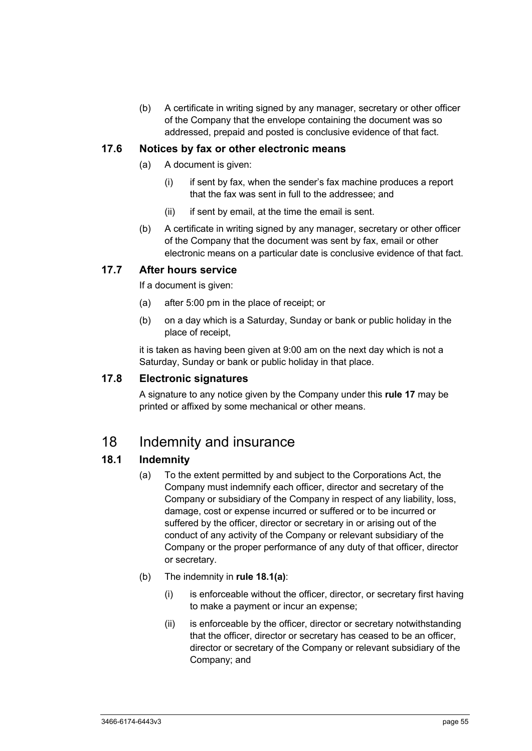(b) A certificate in writing signed by any manager, secretary or other officer of the Company that the envelope containing the document was so addressed, prepaid and posted is conclusive evidence of that fact.

#### **17.6 Notices by fax or other electronic means**

- (a) A document is given:
	- (i) if sent by fax, when the sender's fax machine produces a report that the fax was sent in full to the addressee; and
	- (ii) if sent by email, at the time the email is sent.
- (b) A certificate in writing signed by any manager, secretary or other officer of the Company that the document was sent by fax, email or other electronic means on a particular date is conclusive evidence of that fact.

# **17.7 After hours service**

If a document is given:

- (a) after 5:00 pm in the place of receipt; or
- (b) on a day which is a Saturday, Sunday or bank or public holiday in the place of receipt,

it is taken as having been given at 9:00 am on the next day which is not a Saturday, Sunday or bank or public holiday in that place.

#### **17.8 Electronic signatures**

A signature to any notice given by the Company under this **rule 17** may be printed or affixed by some mechanical or other means.

# 18 Indemnity and insurance

## **18.1 Indemnity**

- (a) To the extent permitted by and subject to the Corporations Act, the Company must indemnify each officer, director and secretary of the Company or subsidiary of the Company in respect of any liability, loss, damage, cost or expense incurred or suffered or to be incurred or suffered by the officer, director or secretary in or arising out of the conduct of any activity of the Company or relevant subsidiary of the Company or the proper performance of any duty of that officer, director or secretary.
- (b) The indemnity in **rule 18.1(a)**:
	- (i) is enforceable without the officer, director, or secretary first having to make a payment or incur an expense;
	- (ii) is enforceable by the officer, director or secretary notwithstanding that the officer, director or secretary has ceased to be an officer, director or secretary of the Company or relevant subsidiary of the Company; and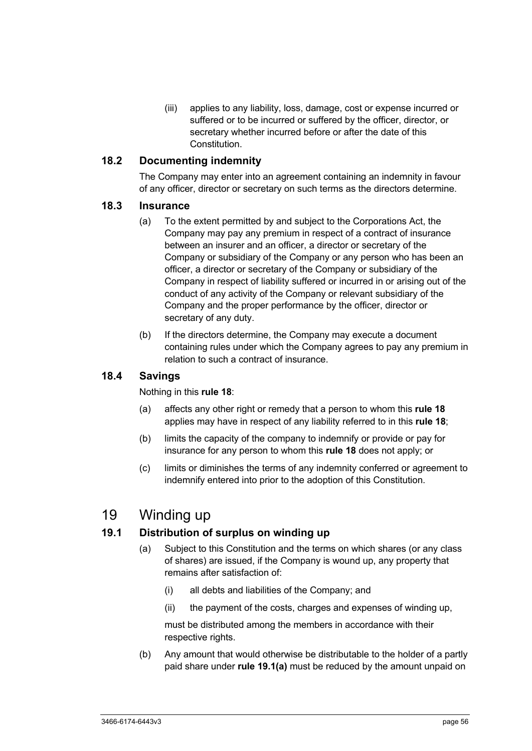(iii) applies to any liability, loss, damage, cost or expense incurred or suffered or to be incurred or suffered by the officer, director, or secretary whether incurred before or after the date of this **Constitution** 

## **18.2 Documenting indemnity**

The Company may enter into an agreement containing an indemnity in favour of any officer, director or secretary on such terms as the directors determine.

#### **18.3 Insurance**

- (a) To the extent permitted by and subject to the Corporations Act, the Company may pay any premium in respect of a contract of insurance between an insurer and an officer, a director or secretary of the Company or subsidiary of the Company or any person who has been an officer, a director or secretary of the Company or subsidiary of the Company in respect of liability suffered or incurred in or arising out of the conduct of any activity of the Company or relevant subsidiary of the Company and the proper performance by the officer, director or secretary of any duty.
- (b) If the directors determine, the Company may execute a document containing rules under which the Company agrees to pay any premium in relation to such a contract of insurance.

## **18.4 Savings**

Nothing in this **rule 18**:

- (a) affects any other right or remedy that a person to whom this **rule 18** applies may have in respect of any liability referred to in this **rule 18**;
- (b) limits the capacity of the company to indemnify or provide or pay for insurance for any person to whom this **rule 18** does not apply; or
- (c) limits or diminishes the terms of any indemnity conferred or agreement to indemnify entered into prior to the adoption of this Constitution.

# 19 Winding up

## **19.1 Distribution of surplus on winding up**

- (a) Subject to this Constitution and the terms on which shares (or any class of shares) are issued, if the Company is wound up, any property that remains after satisfaction of:
	- (i) all debts and liabilities of the Company; and
	- (ii) the payment of the costs, charges and expenses of winding up,

must be distributed among the members in accordance with their respective rights.

(b) Any amount that would otherwise be distributable to the holder of a partly paid share under **rule 19.1(a)** must be reduced by the amount unpaid on